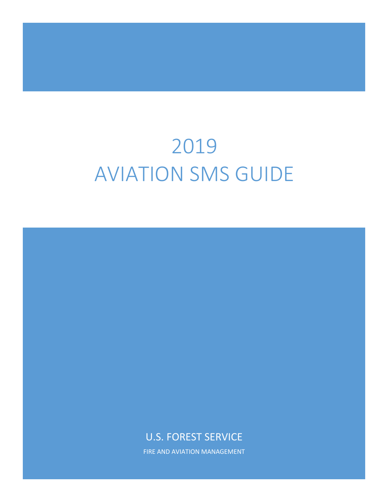# 2019 AVIATION SMS GUIDE

# U.S. FOREST SERVICE

FIRE AND AVIATION MANAGEMENT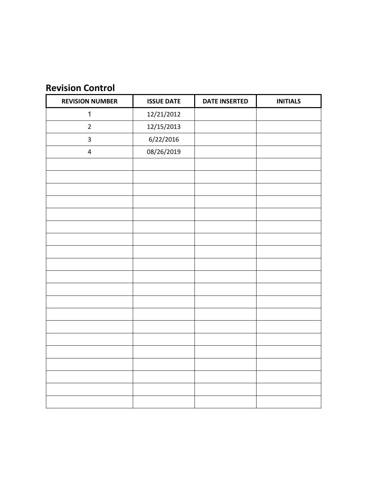# **Revision Control**

| <b>REVISION NUMBER</b>  | <b>ISSUE DATE</b> | <b>DATE INSERTED</b> | <b>INITIALS</b> |
|-------------------------|-------------------|----------------------|-----------------|
| $\mathbf 1$             | 12/21/2012        |                      |                 |
| $\overline{2}$          | 12/15/2013        |                      |                 |
| 3                       | 6/22/2016         |                      |                 |
| $\overline{\mathbf{4}}$ | 08/26/2019        |                      |                 |
|                         |                   |                      |                 |
|                         |                   |                      |                 |
|                         |                   |                      |                 |
|                         |                   |                      |                 |
|                         |                   |                      |                 |
|                         |                   |                      |                 |
|                         |                   |                      |                 |
|                         |                   |                      |                 |
|                         |                   |                      |                 |
|                         |                   |                      |                 |
|                         |                   |                      |                 |
|                         |                   |                      |                 |
|                         |                   |                      |                 |
|                         |                   |                      |                 |
|                         |                   |                      |                 |
|                         |                   |                      |                 |
|                         |                   |                      |                 |
|                         |                   |                      |                 |
|                         |                   |                      |                 |
|                         |                   |                      |                 |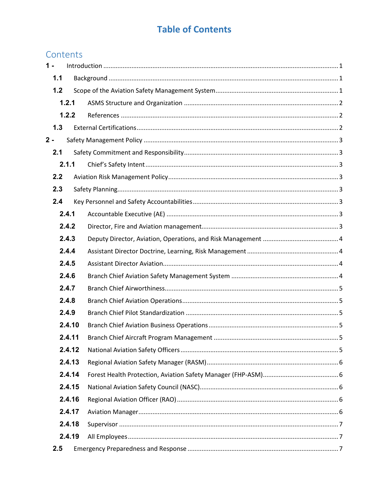# **Table of Contents**

# Contents

| $1 -$ |        | $\label{eq:1} \mbox{Introduction} \,\, \ldots \,\, \ldots \,\, \ldots \,\, \ldots \,\, \ldots \,\, \ldots \,\, \ldots \,\, \ldots \,\, \ldots \,\, \ldots \,\, \ldots \,\, \ldots \,\, \ldots \,\, \ldots \,\, \ldots \,\, \ldots \,\, \ldots \,\, \ldots \,\, \ldots \,\, \ldots \,\, \ldots \,\, \ldots \,\, \ldots \,\, \ldots \,\, \ldots \,\, \ldots \,\, \ldots \,\, \ldots \,\, \ldots \,\, \ldots \,\, \ldots \,\, \ldots \,\, \ldots \,\, \ldots \,\,$ |  |  |
|-------|--------|-----------------------------------------------------------------------------------------------------------------------------------------------------------------------------------------------------------------------------------------------------------------------------------------------------------------------------------------------------------------------------------------------------------------------------------------------------------------|--|--|
| 1.1   |        |                                                                                                                                                                                                                                                                                                                                                                                                                                                                 |  |  |
| 1.2   |        |                                                                                                                                                                                                                                                                                                                                                                                                                                                                 |  |  |
|       | 1.2.1  |                                                                                                                                                                                                                                                                                                                                                                                                                                                                 |  |  |
|       | 1.2.2  |                                                                                                                                                                                                                                                                                                                                                                                                                                                                 |  |  |
| 1.3   |        |                                                                                                                                                                                                                                                                                                                                                                                                                                                                 |  |  |
| 2 -   |        |                                                                                                                                                                                                                                                                                                                                                                                                                                                                 |  |  |
| 2.1   |        |                                                                                                                                                                                                                                                                                                                                                                                                                                                                 |  |  |
|       | 2.1.1  |                                                                                                                                                                                                                                                                                                                                                                                                                                                                 |  |  |
| 2.2   |        |                                                                                                                                                                                                                                                                                                                                                                                                                                                                 |  |  |
| 2.3   |        |                                                                                                                                                                                                                                                                                                                                                                                                                                                                 |  |  |
| 2.4   |        |                                                                                                                                                                                                                                                                                                                                                                                                                                                                 |  |  |
|       | 2.4.1  |                                                                                                                                                                                                                                                                                                                                                                                                                                                                 |  |  |
|       | 2.4.2  |                                                                                                                                                                                                                                                                                                                                                                                                                                                                 |  |  |
|       | 2.4.3  |                                                                                                                                                                                                                                                                                                                                                                                                                                                                 |  |  |
|       | 2.4.4  |                                                                                                                                                                                                                                                                                                                                                                                                                                                                 |  |  |
|       | 2.4.5  |                                                                                                                                                                                                                                                                                                                                                                                                                                                                 |  |  |
|       | 2.4.6  |                                                                                                                                                                                                                                                                                                                                                                                                                                                                 |  |  |
|       | 2.4.7  |                                                                                                                                                                                                                                                                                                                                                                                                                                                                 |  |  |
|       | 2.4.8  |                                                                                                                                                                                                                                                                                                                                                                                                                                                                 |  |  |
|       | 2.4.9  |                                                                                                                                                                                                                                                                                                                                                                                                                                                                 |  |  |
|       | 2.4.10 |                                                                                                                                                                                                                                                                                                                                                                                                                                                                 |  |  |
|       | 2.4.11 |                                                                                                                                                                                                                                                                                                                                                                                                                                                                 |  |  |
|       | 2.4.12 |                                                                                                                                                                                                                                                                                                                                                                                                                                                                 |  |  |
|       | 2.4.13 |                                                                                                                                                                                                                                                                                                                                                                                                                                                                 |  |  |
|       | 2.4.14 |                                                                                                                                                                                                                                                                                                                                                                                                                                                                 |  |  |
|       | 2.4.15 |                                                                                                                                                                                                                                                                                                                                                                                                                                                                 |  |  |
|       | 2.4.16 |                                                                                                                                                                                                                                                                                                                                                                                                                                                                 |  |  |
|       | 2.4.17 |                                                                                                                                                                                                                                                                                                                                                                                                                                                                 |  |  |
|       | 2.4.18 |                                                                                                                                                                                                                                                                                                                                                                                                                                                                 |  |  |
|       | 2.4.19 |                                                                                                                                                                                                                                                                                                                                                                                                                                                                 |  |  |
| 2.5   |        |                                                                                                                                                                                                                                                                                                                                                                                                                                                                 |  |  |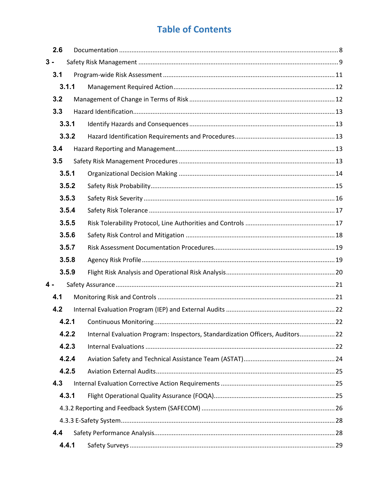# **Table of Contents**

|       | 2.6   |  |                                                                                |  |  |
|-------|-------|--|--------------------------------------------------------------------------------|--|--|
| $3 -$ |       |  |                                                                                |  |  |
|       | 3.1   |  |                                                                                |  |  |
|       | 3.1.1 |  |                                                                                |  |  |
|       | 3.2   |  |                                                                                |  |  |
|       | 3.3   |  |                                                                                |  |  |
|       | 3.3.1 |  |                                                                                |  |  |
|       | 3.3.2 |  |                                                                                |  |  |
|       | 3.4   |  |                                                                                |  |  |
|       | 3.5   |  |                                                                                |  |  |
|       | 3.5.1 |  |                                                                                |  |  |
|       | 3.5.2 |  |                                                                                |  |  |
|       | 3.5.3 |  |                                                                                |  |  |
|       | 3.5.4 |  |                                                                                |  |  |
|       | 3.5.5 |  |                                                                                |  |  |
|       | 3.5.6 |  |                                                                                |  |  |
|       | 3.5.7 |  |                                                                                |  |  |
|       | 3.5.8 |  |                                                                                |  |  |
|       | 3.5.9 |  |                                                                                |  |  |
| $4 -$ |       |  |                                                                                |  |  |
|       | 4.1   |  |                                                                                |  |  |
|       | 4.2   |  |                                                                                |  |  |
|       | 4.2.1 |  |                                                                                |  |  |
|       | 4.2.2 |  | Internal Evaluation Program: Inspectors, Standardization Officers, Auditors 22 |  |  |
|       | 4.2.3 |  |                                                                                |  |  |
|       | 4.2.4 |  |                                                                                |  |  |
|       | 4.2.5 |  |                                                                                |  |  |
|       | 4.3   |  |                                                                                |  |  |
|       | 4.3.1 |  |                                                                                |  |  |
|       |       |  |                                                                                |  |  |
|       |       |  |                                                                                |  |  |
|       | 4.4   |  |                                                                                |  |  |
|       | 4.4.1 |  |                                                                                |  |  |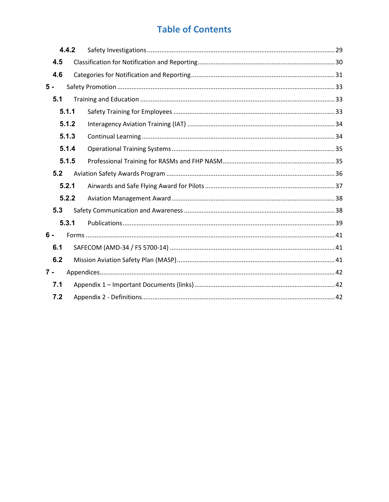# **Table of Contents**

| 4.4.2 |       |  |
|-------|-------|--|
| 4.5   |       |  |
| 4.6   |       |  |
| $5 -$ |       |  |
| 5.1   |       |  |
|       | 5.1.1 |  |
|       | 5.1.2 |  |
|       | 5.1.3 |  |
|       | 5.1.4 |  |
|       | 5.1.5 |  |
| 5.2   |       |  |
|       | 5.2.1 |  |
|       | 5.2.2 |  |
| 5.3   |       |  |
|       | 5.3.1 |  |
| $6 -$ |       |  |
| 6.1   |       |  |
| 6.2   |       |  |
| $7 -$ |       |  |
| 7.1   |       |  |
| 7.2   |       |  |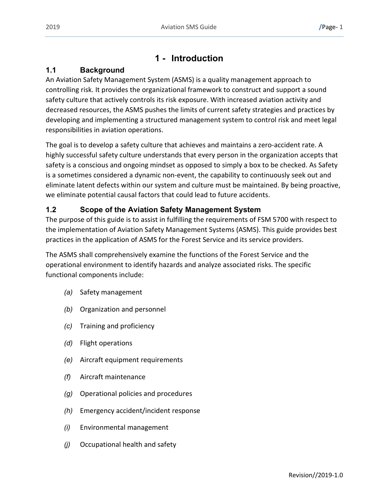# **1 - Introduction**

# <span id="page-6-1"></span><span id="page-6-0"></span>**1.1 Background**

An Aviation Safety Management System (ASMS) is a quality management approach to controlling risk. It provides the organizational framework to construct and support a sound safety culture that actively controls its risk exposure. With increased aviation activity and decreased resources, the ASMS pushes the limits of current safety strategies and practices by developing and implementing a structured management system to control risk and meet legal responsibilities in aviation operations.

The goal is to develop a safety culture that achieves and maintains a zero-accident rate. A highly successful safety culture understands that every person in the organization accepts that safety is a conscious and ongoing mindset as opposed to simply a box to be checked. As Safety is a sometimes considered a dynamic non-event, the capability to continuously seek out and eliminate latent defects within our system and culture must be maintained. By being proactive, we eliminate potential causal factors that could lead to future accidents.

# <span id="page-6-2"></span>**1.2 Scope of the Aviation Safety Management System**

The purpose of this guide is to assist in fulfilling the requirements of FSM 5700 with respect to the implementation of Aviation Safety Management Systems (ASMS). This guide provides best practices in the application of ASMS for the Forest Service and its service providers.

The ASMS shall comprehensively examine the functions of the Forest Service and the operational environment to identify hazards and analyze associated risks. The specific functional components include:

- *(a)* Safety management
- *(b)* Organization and personnel
- *(c)* Training and proficiency
- *(d)* Flight operations
- *(e)* Aircraft equipment requirements
- *(f)* Aircraft maintenance
- *(g)* Operational policies and procedures
- *(h)* Emergency accident/incident response
- *(i)* Environmental management
- *(j)* Occupational health and safety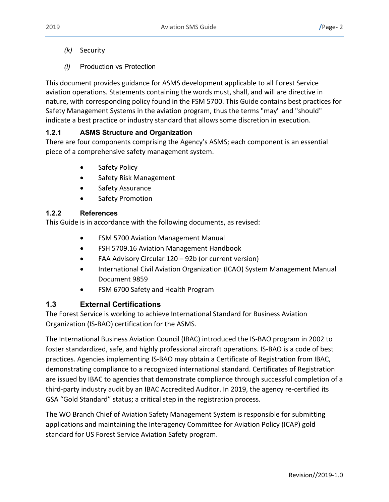- *(k)* Security
- *(l)* Production vs Protection

This document provides guidance for ASMS development applicable to all Forest Service aviation operations. Statements containing the words must, shall, and will are directive in nature, with corresponding policy found in the FSM 5700. This Guide contains best practices for Safety Management Systems in the aviation program, thus the terms "may" and "should" indicate a best practice or industry standard that allows some discretion in execution.

## <span id="page-7-0"></span>**1.2.1 ASMS Structure and Organization**

There are four components comprising the Agency's ASMS; each component is an essential piece of a comprehensive safety management system.

- Safety Policy
- Safety Risk Management
- Safety Assurance
- Safety Promotion

#### <span id="page-7-1"></span>**1.2.2 References**

This Guide is in accordance with the following documents, as revised:

- FSM 5700 Aviation Management Manual
- FSH 5709.16 Aviation Management Handbook
- FAA Advisory Circular 120 92b (or current version)
- International Civil Aviation Organization (ICAO) System Management Manual Document 9859
- FSM 6700 Safety and Health Program

## <span id="page-7-2"></span>**1.3 External Certifications**

The Forest Service is working to achieve International Standard for Business Aviation Organization (IS-BAO) certification for the ASMS.

The International Business Aviation Council (IBAC) introduced the IS-BAO program in 2002 to foster standardized, safe, and highly professional aircraft operations. IS-BAO is a code of best practices. Agencies implementing IS-BAO may obtain a Certificate of Registration from IBAC, demonstrating compliance to a recognized international standard. Certificates of Registration are issued by IBAC to agencies that demonstrate compliance through successful completion of a third-party industry audit by an IBAC Accredited Auditor. In 2019, the agency re-certified its GSA "Gold Standard" status; a critical step in the registration process.

The WO Branch Chief of Aviation Safety Management System is responsible for submitting applications and maintaining the Interagency Committee for Aviation Policy (ICAP) gold standard for US Forest Service Aviation Safety program.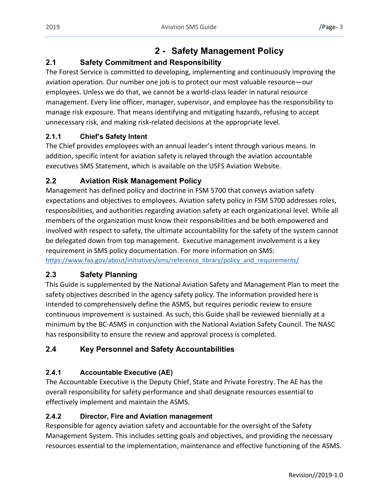# **2 - Safety Management Policy**

# <span id="page-8-1"></span><span id="page-8-0"></span>**2.1 Safety Commitment and Responsibility**

The Forest Service is committed to developing, implementing and continuously improving the aviation operation. Our number one job is to protect our most valuable resource—our employees. Unless we do that, we cannot be a world-class leader in natural resource management. Every line officer, manager, supervisor, and employee has the responsibility to manage risk exposure. That means identifying and mitigating hazards, refusing to accept unnecessary risk, and making risk-related decisions at the appropriate level.

# <span id="page-8-2"></span>**2.1.1 Chief's Safety Intent**

The Chief provides employees with an annual leader's intent through various means. In addition, specific intent for aviation safety is relayed through the aviation accountable executives SMS Statement, which is available on the USFS Aviation Website.

# <span id="page-8-3"></span>**2.2 Aviation Risk Management Policy**

Management has defined policy and doctrine in FSM 5700 that conveys aviation safety expectations and objectives to employees. Aviation safety policy in FSM 5700 addresses roles, responsibilities, and authorities regarding aviation safety at each organizational level. While all members of the organization must know their responsibilities and be both empowered and involved with respect to safety, the ultimate accountability for the safety of the system cannot be delegated down from top management. Executive management involvement is a key requirement in SMS policy documentation. For more information on SMS: [https://www.faa.gov/about/initiatives/sms/reference\\_library/policy\\_and\\_requirements/](https://www.faa.gov/about/initiatives/sms/reference_library/policy_and_requirements/)

# <span id="page-8-4"></span>**2.3 Safety Planning**

This Guide is supplemented by the National Aviation Safety and Management Plan to meet the safety objectives described in the agency safety policy. The information provided here is intended to comprehensively define the ASMS, but requires periodic review to ensure continuous improvement is sustained. As such, this Guide shall be reviewed biennially at a minimum by the BC-ASMS in conjunction with the National Aviation Safety Council. The NASC has responsibility to ensure the review and approval process is completed.

# <span id="page-8-5"></span>**2.4 Key Personnel and Safety Accountabilities**

# <span id="page-8-6"></span>**2.4.1 Accountable Executive (AE)**

The Accountable Executive is the Deputy Chief, State and Private Forestry. The AE has the overall responsibility for safety performance and shall designate resources essential to effectively implement and maintain the ASMS.

# <span id="page-8-7"></span>**2.4.2 Director, Fire and Aviation management**

Responsible for agency aviation safety and accountable for the oversight of the Safety Management System. This includes setting goals and objectives, and providing the necessary resources essential to the implementation, maintenance and effective functioning of the ASMS.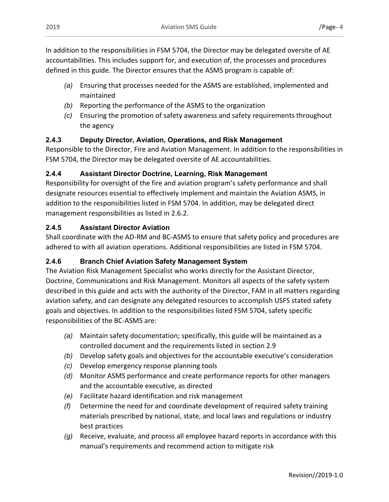In addition to the responsibilities in FSM 5704, the Director may be delegated oversite of AE accountabilities. This includes support for, and execution of, the processes and procedures defined in this guide. The Director ensures that the ASMS program is capable of:

- *(a)* Ensuring that processes needed for the ASMS are established, implemented and maintained
- *(b)* Reporting the performance of the ASMS to the organization
- *(c)* Ensuring the promotion of safety awareness and safety requirements throughout the agency

## <span id="page-9-0"></span>**2.4.3 Deputy Director, Aviation, Operations, and Risk Management**

Responsible to the Director, Fire and Aviation Management. In addition to the responsibilities in FSM 5704, the Director may be delegated oversite of AE accountabilities.

#### <span id="page-9-1"></span>**2.4.4 Assistant Director Doctrine, Learning, Risk Management**

Responsibility for oversight of the fire and aviation program's safety performance and shall designate resources essential to effectively implement and maintain the Aviation ASMS, in addition to the responsibilities listed in FSM 5704. In addition, may be delegated direct management responsibilities as listed in 2.6.2.

#### <span id="page-9-2"></span>**2.4.5 Assistant Director Aviation**

Shall coordinate with the AD-RM and BC-ASMS to ensure that safety policy and procedures are adhered to with all aviation operations. Additional responsibilities are listed in FSM 5704.

## <span id="page-9-3"></span>**2.4.6 Branch Chief Aviation Safety Management System**

The Aviation Risk Management Specialist who works directly for the Assistant Director, Doctrine, Communications and Risk Management. Monitors all aspects of the safety system described in this guide and acts with the authority of the Director, FAM in all matters regarding aviation safety, and can designate any delegated resources to accomplish USFS stated safety goals and objectives. In addition to the responsibilities listed FSM 5704, safety specific responsibilities of the BC-ASMS are:

- *(a)* Maintain safety documentation; specifically, this guide will be maintained as a controlled document and the requirements listed in section 2.9
- *(b)* Develop safety goals and objectives for the accountable executive's consideration
- *(c)* Develop emergency response planning tools
- *(d)* Monitor ASMS performance and create performance reports for other managers and the accountable executive, as directed
- *(e)* Facilitate hazard identification and risk management
- *(f)* Determine the need for and coordinate development of required safety training materials prescribed by national, state, and local laws and regulations or industry best practices
- *(g)* Receive, evaluate, and process all employee hazard reports in accordance with this manual's requirements and recommend action to mitigate risk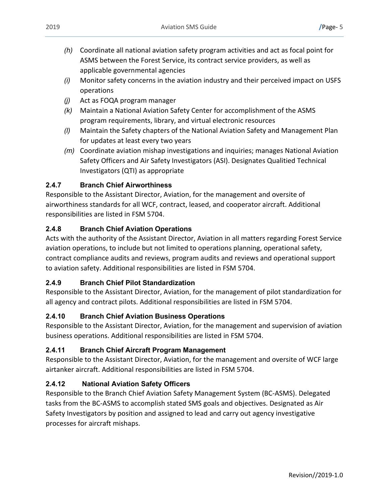- *(h)* Coordinate all national aviation safety program activities and act as focal point for ASMS between the Forest Service, its contract service providers, as well as applicable governmental agencies
- *(i)* Monitor safety concerns in the aviation industry and their perceived impact on USFS operations
- *(j)* Act as FOQA program manager
- *(k)* Maintain a National Aviation Safety Center for accomplishment of the ASMS program requirements, library, and virtual electronic resources
- *(l)* Maintain the Safety chapters of the National Aviation Safety and Management Plan for updates at least every two years
- *(m)* Coordinate aviation mishap investigations and inquiries; manages National Aviation Safety Officers and Air Safety Investigators (ASI). Designates Qualitied Technical Investigators (QTI) as appropriate

## <span id="page-10-0"></span>**2.4.7 Branch Chief Airworthiness**

Responsible to the Assistant Director, Aviation, for the management and oversite of airworthiness standards for all WCF, contract, leased, and cooperator aircraft. Additional responsibilities are listed in FSM 5704.

## <span id="page-10-1"></span>**2.4.8 Branch Chief Aviation Operations**

Acts with the authority of the Assistant Director, Aviation in all matters regarding Forest Service aviation operations, to include but not limited to operations planning, operational safety, contract compliance audits and reviews, program audits and reviews and operational support to aviation safety. Additional responsibilities are listed in FSM 5704.

## <span id="page-10-2"></span>**2.4.9 Branch Chief Pilot Standardization**

Responsible to the Assistant Director, Aviation, for the management of pilot standardization for all agency and contract pilots. Additional responsibilities are listed in FSM 5704.

# <span id="page-10-3"></span>**2.4.10 Branch Chief Aviation Business Operations**

Responsible to the Assistant Director, Aviation, for the management and supervision of aviation business operations. Additional responsibilities are listed in FSM 5704.

# <span id="page-10-4"></span>**2.4.11 Branch Chief Aircraft Program Management**

Responsible to the Assistant Director, Aviation, for the management and oversite of WCF large airtanker aircraft. Additional responsibilities are listed in FSM 5704.

# <span id="page-10-5"></span>**2.4.12 National Aviation Safety Officers**

Responsible to the Branch Chief Aviation Safety Management System (BC-ASMS). Delegated tasks from the BC-ASMS to accomplish stated SMS goals and objectives. Designated as Air Safety Investigators by position and assigned to lead and carry out agency investigative processes for aircraft mishaps.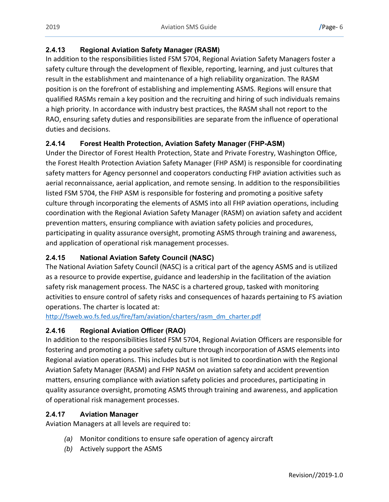## <span id="page-11-0"></span>**2.4.13 Regional Aviation Safety Manager (RASM)**

In addition to the responsibilities listed FSM 5704, Regional Aviation Safety Managers foster a safety culture through the development of flexible, reporting, learning, and just cultures that result in the establishment and maintenance of a high reliability organization. The RASM position is on the forefront of establishing and implementing ASMS. Regions will ensure that qualified RASMs remain a key position and the recruiting and hiring of such individuals remains a high priority. In accordance with industry best practices, the RASM shall not report to the RAO, ensuring safety duties and responsibilities are separate from the influence of operational duties and decisions.

## <span id="page-11-1"></span>**2.4.14 Forest Health Protection, Aviation Safety Manager (FHP-ASM)**

Under the Director of Forest Health Protection, State and Private Forestry, Washington Office, the Forest Health Protection Aviation Safety Manager (FHP ASM) is responsible for coordinating safety matters for Agency personnel and cooperators conducting FHP aviation activities such as aerial reconnaissance, aerial application, and remote sensing. In addition to the responsibilities listed FSM 5704, the FHP ASM is responsible for fostering and promoting a positive safety culture through incorporating the elements of ASMS into all FHP aviation operations, including coordination with the Regional Aviation Safety Manager (RASM) on aviation safety and accident prevention matters, ensuring compliance with aviation safety policies and procedures, participating in quality assurance oversight, promoting ASMS through training and awareness, and application of operational risk management processes.

# <span id="page-11-2"></span>**2.4.15 National Aviation Safety Council (NASC)**

The National Aviation Safety Council (NASC) is a critical part of the agency ASMS and is utilized as a resource to provide expertise, guidance and leadership in the facilitation of the aviation safety risk management process. The NASC is a chartered group, tasked with monitoring activities to ensure control of safety risks and consequences of hazards pertaining to FS aviation operations. The charter is located at:

[http://fsweb.wo.fs.fed.us/fire/fam/aviation/charters/rasm\\_dm\\_charter.pdf](http://fsweb.wo.fs.fed.us/fire/fam/aviation/charters/rasm_dm_charter.pdf)

## <span id="page-11-3"></span>**2.4.16 Regional Aviation Officer (RAO)**

In addition to the responsibilities listed FSM 5704, Regional Aviation Officers are responsible for fostering and promoting a positive safety culture through incorporation of ASMS elements into Regional aviation operations. This includes but is not limited to coordination with the Regional Aviation Safety Manager (RASM) and FHP NASM on aviation safety and accident prevention matters, ensuring compliance with aviation safety policies and procedures, participating in quality assurance oversight, promoting ASMS through training and awareness, and application of operational risk management processes.

## <span id="page-11-4"></span>**2.4.17 Aviation Manager**

Aviation Managers at all levels are required to:

- *(a)* Monitor conditions to ensure safe operation of agency aircraft
- *(b)* Actively support the ASMS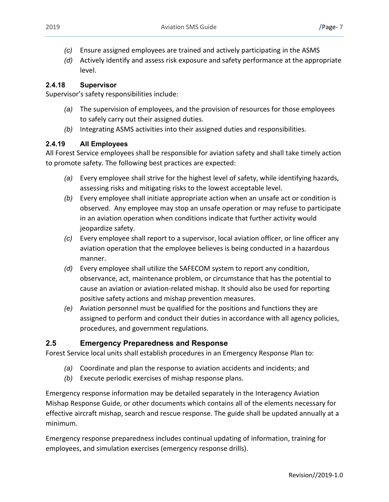- *(c)* Ensure assigned employees are trained and actively participating in the ASMS
- *(d)* Actively identify and assess risk exposure and safety performance at the appropriate level.

## <span id="page-12-0"></span>**2.4.18 Supervisor**

Supervisor's safety responsibilities include:

- *(a)* The supervision of employees, and the provision of resources for those employees to safely carry out their assigned duties.
- *(b)* Integrating ASMS activities into their assigned duties and responsibilities.

## <span id="page-12-1"></span>**2.4.19 All Employees**

All Forest Service employees shall be responsible for aviation safety and shall take timely action to promote safety. The following best practices are expected:

- *(a)* Every employee shall strive for the highest level of safety, while identifying hazards, assessing risks and mitigating risks to the lowest acceptable level.
- *(b)* Every employee shall initiate appropriate action when an unsafe act or condition is observed. Any employee may stop an unsafe operation or may refuse to participate in an aviation operation when conditions indicate that further activity would jeopardize safety.
- *(c)* Every employee shall report to a supervisor, local aviation officer, or line officer any aviation operation that the employee believes is being conducted in a hazardous manner.
- *(d)* Every employee shall utilize the SAFECOM system to report any condition, observance, act, maintenance problem, or circumstance that has the potential to cause an aviation or aviation-related mishap. It should also be used for reporting positive safety actions and mishap prevention measures.
- *(e)* Aviation personnel must be qualified for the positions and functions they are assigned to perform and conduct their duties in accordance with all agency policies, procedures, and government regulations.

# <span id="page-12-2"></span>**2.5 Emergency Preparedness and Response**

Forest Service local units shall establish procedures in an Emergency Response Plan to:

- *(a)* Coordinate and plan the response to aviation accidents and incidents; and
- *(b)* Execute periodic exercises of mishap response plans.

Emergency response information may be detailed separately in the Interagency Aviation Mishap Response Guide, or other documents which contains all of the elements necessary for effective aircraft mishap, search and rescue response. The guide shall be updated annually at a minimum.

Emergency response preparedness includes continual updating of information, training for employees, and simulation exercises (emergency response drills).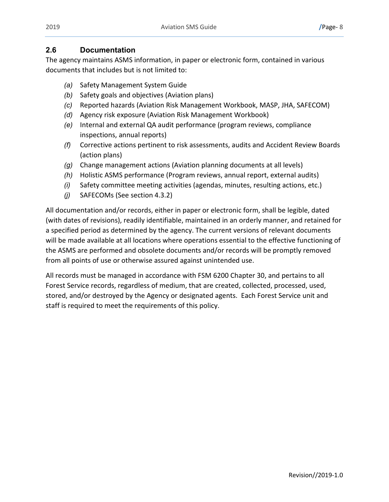#### <span id="page-13-0"></span>**2.6 Documentation**

The agency maintains ASMS information, in paper or electronic form, contained in various documents that includes but is not limited to:

- *(a)* Safety Management System Guide
- *(b)* Safety goals and objectives (Aviation plans)
- *(c)* Reported hazards (Aviation Risk Management Workbook, MASP, JHA, SAFECOM)
- *(d)* Agency risk exposure (Aviation Risk Management Workbook)
- *(e)* Internal and external QA audit performance (program reviews, compliance inspections, annual reports)
- *(f)* Corrective actions pertinent to risk assessments, audits and Accident Review Boards (action plans)
- *(g)* Change management actions (Aviation planning documents at all levels)
- *(h)* Holistic ASMS performance (Program reviews, annual report, external audits)
- *(i)* Safety committee meeting activities (agendas, minutes, resulting actions, etc.)
- *(j)* SAFECOMs (See section 4.3.2)

All documentation and/or records, either in paper or electronic form, shall be legible, dated (with dates of revisions), readily identifiable, maintained in an orderly manner, and retained for a specified period as determined by the agency. The current versions of relevant documents will be made available at all locations where operations essential to the effective functioning of the ASMS are performed and obsolete documents and/or records will be promptly removed from all points of use or otherwise assured against unintended use.

All records must be managed in accordance with FSM 6200 Chapter 30, and pertains to all Forest Service records, regardless of medium, that are created, collected, processed, used, stored, and/or destroyed by the Agency or designated agents. Each Forest Service unit and staff is required to meet the requirements of this policy.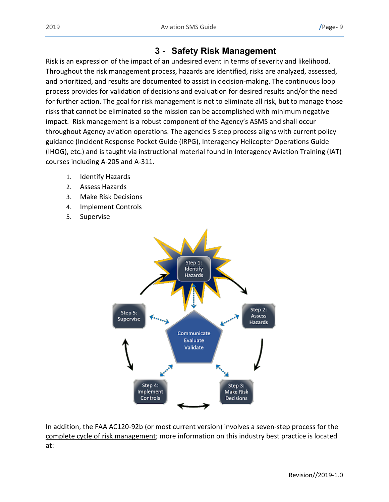# **3 - Safety Risk Management**

<span id="page-14-0"></span>Risk is an expression of the impact of an undesired event in terms of severity and likelihood. Throughout the risk management process, hazards are identified, risks are analyzed, assessed, and prioritized, and results are documented to assist in decision-making. The continuous loop process provides for validation of decisions and evaluation for desired results and/or the need for further action. The goal for risk management is not to eliminate all risk, but to manage those risks that cannot be eliminated so the mission can be accomplished with minimum negative impact. Risk management is a robust component of the Agency's ASMS and shall occur throughout Agency aviation operations. The agencies 5 step process aligns with current policy guidance (Incident Response Pocket Guide (IRPG), Interagency Helicopter Operations Guide (IHOG), etc.) and is taught via instructional material found in Interagency Aviation Training (IAT) courses including A-205 and A-311.

- 1. Identify Hazards
- 2. Assess Hazards
- 3. Make Risk Decisions
- 4. Implement Controls
- 5. Supervise



In addition, the FAA AC120-92b (or most current version) involves a seven-step process for the complete cycle of risk management; more information on this industry best practice is located at: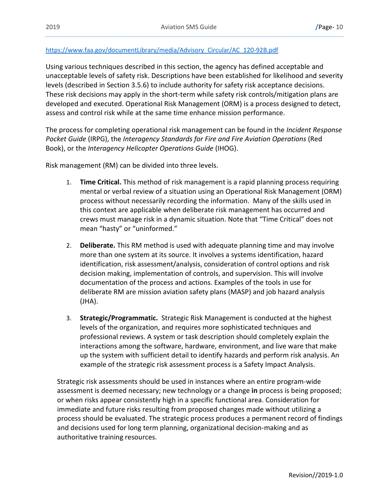#### [https://www.faa.gov/documentLibrary/media/Advisory\\_Circular/AC\\_120-92B.pdf](https://www.faa.gov/documentLibrary/media/Advisory_Circular/AC_120-92B.pdf)

Using various techniques described in this section, the agency has defined acceptable and unacceptable levels of safety risk. Descriptions have been established for likelihood and severity levels (described in Section 3.5.6) to include authority for safety risk acceptance decisions. These risk decisions may apply in the short-term while safety risk controls/mitigation plans are developed and executed. Operational Risk Management (ORM) is a process designed to detect, assess and control risk while at the same time enhance mission performance.

The process for completing operational risk management can be found in the *Incident Response Pocket Guide* (IRPG), the *Interagency Standards for Fire and Fire Aviation Operations* (Red Book), or the *Interagency Helicopter Operations Guide* (IHOG).

Risk management (RM) can be divided into three levels.

- 1. **Time Critical.** This method of risk management is a rapid planning process requiring mental or verbal review of a situation using an Operational Risk Management (ORM) process without necessarily recording the information. Many of the skills used in this context are applicable when deliberate risk management has occurred and crews must manage risk in a dynamic situation. Note that "Time Critical" does not mean "hasty" or "uninformed."
- 2. **Deliberate.** This RM method is used with adequate planning time and may involve more than one system at its source. It involves a systems identification, hazard identification, risk assessment/analysis, consideration of control options and risk decision making, implementation of controls, and supervision. This will involve documentation of the process and actions. Examples of the tools in use for deliberate RM are mission aviation safety plans (MASP) and job hazard analysis (JHA).
- 3. **Strategic/Programmatic.** Strategic Risk Management is conducted at the highest levels of the organization, and requires more sophisticated techniques and professional reviews. A system or task description should completely explain the interactions among the software, hardware, environment, and live ware that make up the system with sufficient detail to identify hazards and perform risk analysis. An example of the strategic risk assessment process is a Safety Impact Analysis.

Strategic risk assessments should be used in instances where an entire program-wide assessment is deemed necessary; new technology or a change **in** process is being proposed; or when risks appear consistently high in a specific functional area. Consideration for immediate and future risks resulting from proposed changes made without utilizing a process should be evaluated. The strategic process produces a permanent record of findings and decisions used for long term planning, organizational decision-making and as authoritative training resources.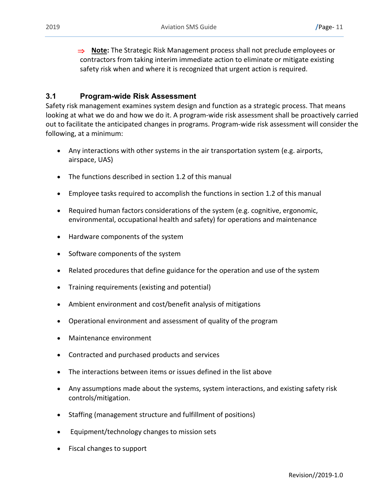⇒ **Note:** The Strategic Risk Management process shall not preclude employees or contractors from taking interim immediate action to eliminate or mitigate existing safety risk when and where it is recognized that urgent action is required.

#### <span id="page-16-0"></span>**3.1 Program-wide Risk Assessment**

Safety risk management examines system design and function as a strategic process. That means looking at what we do and how we do it. A program-wide risk assessment shall be proactively carried out to facilitate the anticipated changes in programs. Program-wide risk assessment will consider the following, at a minimum:

- Any interactions with other systems in the air transportation system (e.g. airports, airspace, UAS)
- The functions described in section 1.2 of this manual
- Employee tasks required to accomplish the functions in section 1.2 of this manual
- Required human factors considerations of the system (e.g. cognitive, ergonomic, environmental, occupational health and safety) for operations and maintenance
- Hardware components of the system
- Software components of the system
- Related procedures that define guidance for the operation and use of the system
- Training requirements (existing and potential)
- Ambient environment and cost/benefit analysis of mitigations
- Operational environment and assessment of quality of the program
- Maintenance environment
- Contracted and purchased products and services
- The interactions between items or issues defined in the list above
- Any assumptions made about the systems, system interactions, and existing safety risk controls/mitigation.
- Staffing (management structure and fulfillment of positions)
- Equipment/technology changes to mission sets
- Fiscal changes to support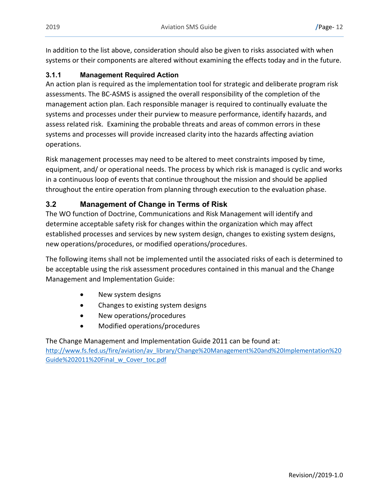In addition to the list above, consideration should also be given to risks associated with when systems or their components are altered without examining the effects today and in the future.

#### <span id="page-17-0"></span>**3.1.1 Management Required Action**

An action plan is required as the implementation tool for strategic and deliberate program risk assessments. The BC-ASMS is assigned the overall responsibility of the completion of the management action plan. Each responsible manager is required to continually evaluate the systems and processes under their purview to measure performance, identify hazards, and assess related risk. Examining the probable threats and areas of common errors in these systems and processes will provide increased clarity into the hazards affecting aviation operations.

Risk management processes may need to be altered to meet constraints imposed by time, equipment, and/ or operational needs. The process by which risk is managed is cyclic and works in a continuous loop of events that continue throughout the mission and should be applied throughout the entire operation from planning through execution to the evaluation phase.

## <span id="page-17-1"></span>**3.2 Management of Change in Terms of Risk**

The WO function of Doctrine, Communications and Risk Management will identify and determine acceptable safety risk for changes within the organization which may affect established processes and services by new system design, changes to existing system designs, new operations/procedures, or modified operations/procedures.

The following items shall not be implemented until the associated risks of each is determined to be acceptable using the risk assessment procedures contained in this manual and the Change Management and Implementation Guide:

- New system designs
- Changes to existing system designs
- New operations/procedures
- Modified operations/procedures

The Change Management and Implementation Guide 2011 can be found at:

[http://www.fs.fed.us/fire/aviation/av\\_library/Change%20Management%20and%20Implementation%20](http://www.fs.fed.us/fire/aviation/av_library/Change%20Management%20and%20Implementation%20Guide%202011%20Final_w_Cover_toc.pdf) [Guide%202011%20Final\\_w\\_Cover\\_toc.pdf](http://www.fs.fed.us/fire/aviation/av_library/Change%20Management%20and%20Implementation%20Guide%202011%20Final_w_Cover_toc.pdf)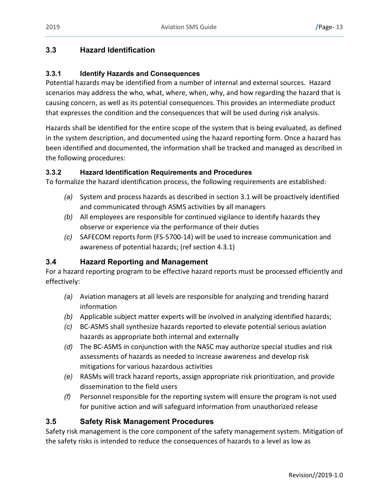## <span id="page-18-0"></span>**3.3 Hazard Identification**

#### <span id="page-18-1"></span>**3.3.1 Identify Hazards and Consequences**

Potential hazards may be identified from a number of internal and external sources. Hazard scenarios may address the who, what, where, when, why, and how regarding the hazard that is causing concern, as well as its potential consequences. This provides an intermediate product that expresses the condition and the consequences that will be used during risk analysis.

Hazards shall be identified for the entire scope of the system that is being evaluated, as defined in the system description, and documented using the hazard reporting form. Once a hazard has been identified and documented, the information shall be tracked and managed as described in the following procedures:

#### <span id="page-18-2"></span>**3.3.2 Hazard Identification Requirements and Procedures**

To formalize the hazard identification process, the following requirements are established:

- *(a)* System and process hazards as described in section 3.1 will be proactively identified and communicated through ASMS activities by all managers
- *(b)* All employees are responsible for continued vigilance to identify hazards they observe or experience via the performance of their duties
- *(c)* SAFECOM reports form (FS-5700-14) will be used to increase communication and awareness of potential hazards; (ref section 4.3.1)

## <span id="page-18-3"></span>**3.4 Hazard Reporting and Management**

For a hazard reporting program to be effective hazard reports must be processed efficiently and effectively:

- *(a)* Aviation managers at all levels are responsible for analyzing and trending hazard information
- *(b)* Applicable subject matter experts will be involved in analyzing identified hazards;
- *(c)* BC-ASMS shall synthesize hazards reported to elevate potential serious aviation hazards as appropriate both internal and externally
- *(d)* The BC-ASMS in conjunction with the NASC may authorize special studies and risk assessments of hazards as needed to increase awareness and develop risk mitigations for various hazardous activities
- *(e)* RASMs will track hazard reports, assign appropriate risk prioritization, and provide dissemination to the field users
- *(f)* Personnel responsible for the reporting system will ensure the program is not used for punitive action and will safeguard information from unauthorized release

## <span id="page-18-4"></span>**3.5 Safety Risk Management Procedures**

Safety risk management is the core component of the safety management system. Mitigation of the safety risks is intended to reduce the consequences of hazards to a level as low as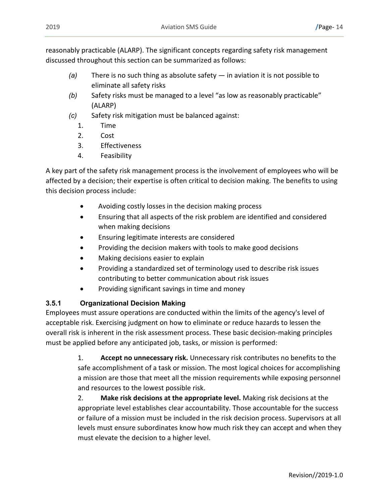reasonably practicable (ALARP). The significant concepts regarding safety risk management discussed throughout this section can be summarized as follows:

- *(a)* There is no such thing as absolute safety in aviation it is not possible to eliminate all safety risks
- *(b)* Safety risks must be managed to a level "as low as reasonably practicable" (ALARP)
- *(c)* Safety risk mitigation must be balanced against:
	- 1. Time
	- 2. Cost
	- 3. Effectiveness
	- 4. Feasibility

A key part of the safety risk management process is the involvement of employees who will be affected by a decision; their expertise is often critical to decision making. The benefits to using this decision process include:

- Avoiding costly losses in the decision making process
- Ensuring that all aspects of the risk problem are identified and considered when making decisions
- Ensuring legitimate interests are considered
- Providing the decision makers with tools to make good decisions
- Making decisions easier to explain
- Providing a standardized set of terminology used to describe risk issues contributing to better communication about risk issues
- Providing significant savings in time and money

# <span id="page-19-0"></span>**3.5.1 Organizational Decision Making**

Employees must assure operations are conducted within the limits of the agency's level of acceptable risk. Exercising judgment on how to eliminate or reduce hazards to lessen the overall risk is inherent in the risk assessment process. These basic decision-making principles must be applied before any anticipated job, tasks, or mission is performed:

> 1. **Accept no unnecessary risk.** Unnecessary risk contributes no benefits to the safe accomplishment of a task or mission. The most logical choices for accomplishing a mission are those that meet all the mission requirements while exposing personnel and resources to the lowest possible risk.

> 2. **Make risk decisions at the appropriate level.** Making risk decisions at the appropriate level establishes clear accountability. Those accountable for the success or failure of a mission must be included in the risk decision process. Supervisors at all levels must ensure subordinates know how much risk they can accept and when they must elevate the decision to a higher level.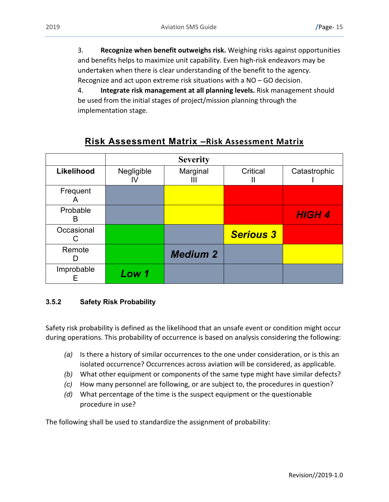3. **Recognize when benefit outweighs risk.** Weighing risks against opportunities and benefits helps to maximize unit capability. Even high-risk endeavors may be undertaken when there is clear understanding of the benefit to the agency. Recognize and act upon extreme risk situations with a NO – GO decision.

4. **Integrate risk management at all planning levels.** Risk management should be used from the initial stages of project/mission planning through the implementation stage.

|               |            | <b>Severity</b> |                  |               |
|---------------|------------|-----------------|------------------|---------------|
| Likelihood    | Negligible | Marginal<br>Ш   | Critical<br>н    | Catastrophic  |
| Frequent<br>A |            |                 |                  |               |
| Probable<br>в |            |                 |                  | <b>HIGH 4</b> |
| Occasional    |            |                 | <b>Serious 3</b> |               |
| Remote        |            | <b>Medium 2</b> |                  |               |
| Improbable    | Low 1      |                 |                  |               |

# **Risk Assessment Matrix –Risk Assessment Matrix**

#### <span id="page-20-0"></span>**3.5.2 Safety Risk Probability**

Safety risk probability is defined as the likelihood that an unsafe event or condition might occur during operations. This probability of occurrence is based on analysis considering the following:

- *(a)* Is there a history of similar occurrences to the one under consideration, or is this an isolated occurrence? Occurrences across aviation will be considered, as applicable.
- *(b)* What other equipment or components of the same type might have similar defects?
- *(c)* How many personnel are following, or are subject to, the procedures in question?
- *(d)* What percentage of the time is the suspect equipment or the questionable procedure in use?

The following shall be used to standardize the assignment of probability: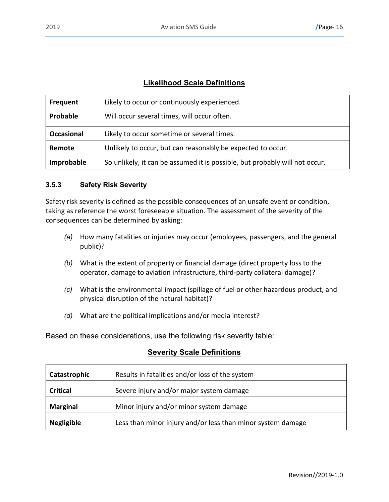# **Likelihood Scale Definitions**

| <b>Frequent</b>                                         | Likely to occur or continuously experienced.                                |
|---------------------------------------------------------|-----------------------------------------------------------------------------|
| Probable<br>Will occur several times, will occur often. |                                                                             |
| <b>Occasional</b>                                       | Likely to occur sometime or several times.                                  |
| Remote                                                  | Unlikely to occur, but can reasonably be expected to occur.                 |
| Improbable                                              | So unlikely, it can be assumed it is possible, but probably will not occur. |

#### <span id="page-21-0"></span>**3.5.3 Safety Risk Severity**

Safety risk severity is defined as the possible consequences of an unsafe event or condition, taking as reference the worst foreseeable situation. The assessment of the severity of the consequences can be determined by asking:

- *(a)* How many fatalities or injuries may occur (employees, passengers, and the general public)?
- *(b)* What is the extent of property or financial damage (direct property loss to the operator, damage to aviation infrastructure, third-party collateral damage)?
- *(c)* What is the environmental impact (spillage of fuel or other hazardous product, and physical disruption of the natural habitat)?
- *(d)* What are the political implications and/or media interest?

Based on these considerations, use the following risk severity table:

#### **Severity Scale Definitions**

| Catastrophic      | Results in fatalities and/or loss of the system             |  |  |
|-------------------|-------------------------------------------------------------|--|--|
| <b>Critical</b>   | Severe injury and/or major system damage                    |  |  |
| <b>Marginal</b>   | Minor injury and/or minor system damage                     |  |  |
| <b>Negligible</b> | Less than minor injury and/or less than minor system damage |  |  |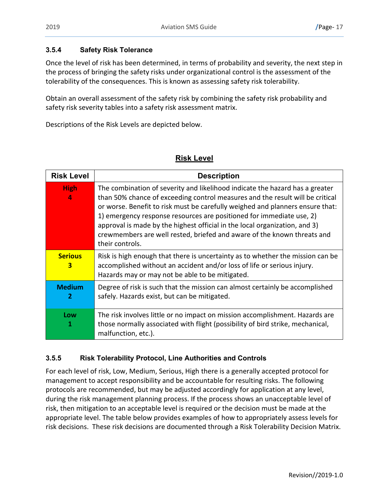#### <span id="page-22-0"></span>**3.5.4 Safety Risk Tolerance**

Once the level of risk has been determined, in terms of probability and severity, the next step in the process of bringing the safety risks under organizational control is the assessment of the tolerability of the consequences. This is known as assessing safety risk tolerability.

Obtain an overall assessment of the safety risk by combining the safety risk probability and safety risk severity tables into a safety risk assessment matrix.

Descriptions of the Risk Levels are depicted below.

## **Risk Level**

| <b>Risk Level</b>   | <b>Description</b>                                                                                                                                                                                                                                                                                                                                                                                                                                                                                 |  |  |
|---------------------|----------------------------------------------------------------------------------------------------------------------------------------------------------------------------------------------------------------------------------------------------------------------------------------------------------------------------------------------------------------------------------------------------------------------------------------------------------------------------------------------------|--|--|
| <b>High</b><br>4    | The combination of severity and likelihood indicate the hazard has a greater<br>than 50% chance of exceeding control measures and the result will be critical<br>or worse. Benefit to risk must be carefully weighed and planners ensure that:<br>1) emergency response resources are positioned for immediate use, 2)<br>approval is made by the highest official in the local organization, and 3)<br>crewmembers are well rested, briefed and aware of the known threats and<br>their controls. |  |  |
| <b>Serious</b><br>3 | Risk is high enough that there is uncertainty as to whether the mission can be<br>accomplished without an accident and/or loss of life or serious injury.<br>Hazards may or may not be able to be mitigated.                                                                                                                                                                                                                                                                                       |  |  |
| <b>Medium</b><br>2  | Degree of risk is such that the mission can almost certainly be accomplished<br>safely. Hazards exist, but can be mitigated.                                                                                                                                                                                                                                                                                                                                                                       |  |  |
| Low<br>1            | The risk involves little or no impact on mission accomplishment. Hazards are<br>those normally associated with flight (possibility of bird strike, mechanical,<br>malfunction, etc.).                                                                                                                                                                                                                                                                                                              |  |  |

## <span id="page-22-1"></span>**3.5.5 Risk Tolerability Protocol, Line Authorities and Controls**

For each level of risk, Low, Medium, Serious, High there is a generally accepted protocol for management to accept responsibility and be accountable for resulting risks. The following protocols are recommended, but may be adjusted accordingly for application at any level, during the risk management planning process. If the process shows an unacceptable level of risk, then mitigation to an acceptable level is required or the decision must be made at the appropriate level. The table below provides examples of how to appropriately assess levels for risk decisions. These risk decisions are documented through a Risk Tolerability Decision Matrix.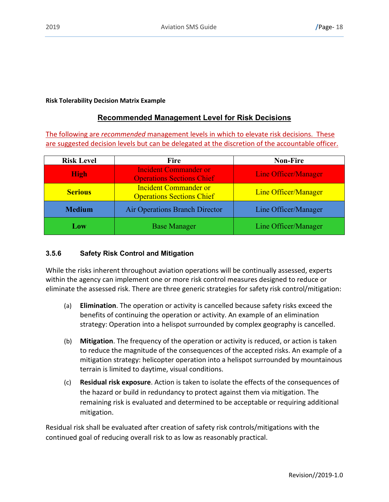#### **Risk Tolerability Decision Matrix Example**

#### **Recommended Management Level for Risk Decisions**

The following are *recommended* management levels in which to elevate risk decisions. These are suggested decision levels but can be delegated at the discretion of the accountable officer.

| <b>Risk Level</b> | <b>Fire</b>                                                      | <b>Non-Fire</b>      |  |
|-------------------|------------------------------------------------------------------|----------------------|--|
| <b>High</b>       | <b>Incident Commander or</b><br><b>Operations Sections Chief</b> | Line Officer/Manager |  |
| <b>Serious</b>    | <b>Incident Commander or</b><br><b>Operations Sections Chief</b> | Line Officer/Manager |  |
| <b>Medium</b>     | <b>Air Operations Branch Director</b>                            | Line Officer/Manager |  |
| Low               | <b>Base Manager</b>                                              | Line Officer/Manager |  |

#### <span id="page-23-0"></span>**3.5.6 Safety Risk Control and Mitigation**

While the risks inherent throughout aviation operations will be continually assessed, experts within the agency can implement one or more risk control measures designed to reduce or eliminate the assessed risk. There are three generic strategies for safety risk control/mitigation:

- (a) **Elimination**. The operation or activity is cancelled because safety risks exceed the benefits of continuing the operation or activity. An example of an elimination strategy: Operation into a helispot surrounded by complex geography is cancelled.
- (b) **Mitigation**. The frequency of the operation or activity is reduced, or action is taken to reduce the magnitude of the consequences of the accepted risks. An example of a mitigation strategy: helicopter operation into a helispot surrounded by mountainous terrain is limited to daytime, visual conditions.
- (c) **Residual risk exposure**. Action is taken to isolate the effects of the consequences of the hazard or build in redundancy to protect against them via mitigation. The remaining risk is evaluated and determined to be acceptable or requiring additional mitigation.

Residual risk shall be evaluated after creation of safety risk controls/mitigations with the continued goal of reducing overall risk to as low as reasonably practical.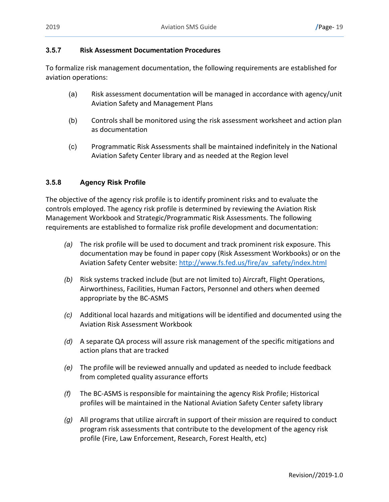#### <span id="page-24-0"></span>**3.5.7 Risk Assessment Documentation Procedures**

To formalize risk management documentation, the following requirements are established for aviation operations:

- (a) Risk assessment documentation will be managed in accordance with agency/unit Aviation Safety and Management Plans
- (b) Controls shall be monitored using the risk assessment worksheet and action plan as documentation
- (c) Programmatic Risk Assessments shall be maintained indefinitely in the National Aviation Safety Center library and as needed at the Region level

#### <span id="page-24-1"></span>**3.5.8 Agency Risk Profile**

The objective of the agency risk profile is to identify prominent risks and to evaluate the controls employed. The agency risk profile is determined by reviewing the Aviation Risk Management Workbook and Strategic/Programmatic Risk Assessments. The following requirements are established to formalize risk profile development and documentation:

- *(a)* The risk profile will be used to document and track prominent risk exposure. This documentation may be found in paper copy (Risk Assessment Workbooks) or on the Aviation Safety Center website: http://www.fs.fed.us/fire/av\_safety/index.html
- *(b)* Risk systems tracked include (but are not limited to) Aircraft, Flight Operations, Airworthiness, Facilities, Human Factors, Personnel and others when deemed appropriate by the BC-ASMS
- *(c)* Additional local hazards and mitigations will be identified and documented using the Aviation Risk Assessment Workbook
- *(d)* A separate QA process will assure risk management of the specific mitigations and action plans that are tracked
- *(e)* The profile will be reviewed annually and updated as needed to include feedback from completed quality assurance efforts
- *(f)* The BC-ASMS is responsible for maintaining the agency Risk Profile; Historical profiles will be maintained in the National Aviation Safety Center safety library
- *(g)* All programs that utilize aircraft in support of their mission are required to conduct program risk assessments that contribute to the development of the agency risk profile (Fire, Law Enforcement, Research, Forest Health, etc)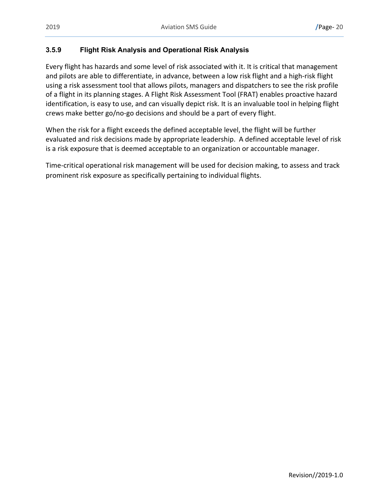## <span id="page-25-0"></span>**3.5.9 Flight Risk Analysis and Operational Risk Analysis**

Every flight has hazards and some level of risk associated with it. It is critical that management and pilots are able to differentiate, in advance, between a low risk flight and a high-risk flight using a risk assessment tool that allows pilots, managers and dispatchers to see the risk profile of a flight in its planning stages. A Flight Risk Assessment Tool (FRAT) enables proactive hazard identification, is easy to use, and can visually depict risk. It is an invaluable tool in helping flight crews make better go/no-go decisions and should be a part of every flight.

When the risk for a flight exceeds the defined acceptable level, the flight will be further evaluated and risk decisions made by appropriate leadership. A defined acceptable level of risk is a risk exposure that is deemed acceptable to an organization or accountable manager.

Time-critical operational risk management will be used for decision making, to assess and track prominent risk exposure as specifically pertaining to individual flights.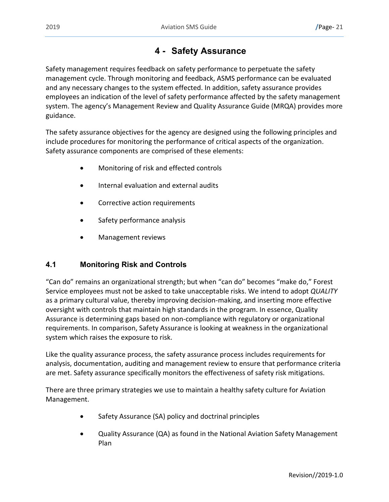# **4 - Safety Assurance**

<span id="page-26-0"></span>Safety management requires feedback on safety performance to perpetuate the safety management cycle. Through monitoring and feedback, ASMS performance can be evaluated and any necessary changes to the system effected. In addition, safety assurance provides employees an indication of the level of safety performance affected by the safety management system. The agency's Management Review and Quality Assurance Guide (MRQA) provides more guidance.

The safety assurance objectives for the agency are designed using the following principles and include procedures for monitoring the performance of critical aspects of the organization. Safety assurance components are comprised of these elements:

- Monitoring of risk and effected controls
- Internal evaluation and external audits
- Corrective action requirements
- Safety performance analysis
- Management reviews

# <span id="page-26-1"></span>**4.1 Monitoring Risk and Controls**

"Can do" remains an organizational strength; but when "can do" becomes "make do," Forest Service employees must not be asked to take unacceptable risks. We intend to adopt *QUALITY* as a primary cultural value, thereby improving decision-making, and inserting more effective oversight with controls that maintain high standards in the program. In essence, Quality Assurance is determining gaps based on non-compliance with regulatory or organizational requirements. In comparison, Safety Assurance is looking at weakness in the organizational system which raises the exposure to risk.

Like the quality assurance process, the safety assurance process includes requirements for analysis, documentation, auditing and management review to ensure that performance criteria are met. Safety assurance specifically monitors the effectiveness of safety risk mitigations.

There are three primary strategies we use to maintain a healthy safety culture for Aviation Management.

- Safety Assurance (SA) policy and doctrinal principles
- Quality Assurance (QA) as found in the National Aviation Safety Management Plan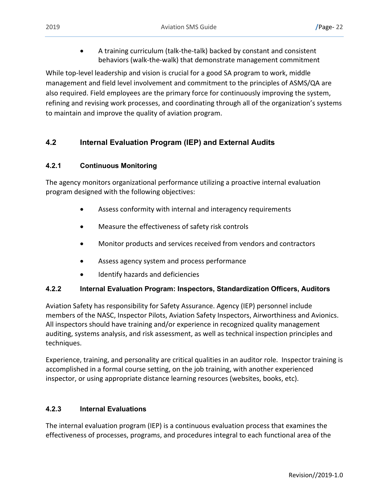• A training curriculum (talk-the-talk) backed by constant and consistent behaviors (walk-the-walk) that demonstrate management commitment

While top-level leadership and vision is crucial for a good SA program to work, middle management and field level involvement and commitment to the principles of ASMS/QA are also required. Field employees are the primary force for continuously improving the system, refining and revising work processes, and coordinating through all of the organization's systems to maintain and improve the quality of aviation program.

# <span id="page-27-0"></span>**4.2 Internal Evaluation Program (IEP) and External Audits**

#### <span id="page-27-1"></span>**4.2.1 Continuous Monitoring**

The agency monitors organizational performance utilizing a proactive internal evaluation program designed with the following objectives:

- Assess conformity with internal and interagency requirements
- Measure the effectiveness of safety risk controls
- Monitor products and services received from vendors and contractors
- Assess agency system and process performance
- Identify hazards and deficiencies

## <span id="page-27-2"></span>**4.2.2 Internal Evaluation Program: Inspectors, Standardization Officers, Auditors**

Aviation Safety has responsibility for Safety Assurance. Agency (IEP) personnel include members of the NASC, Inspector Pilots, Aviation Safety Inspectors, Airworthiness and Avionics. All inspectors should have training and/or experience in recognized quality management auditing, systems analysis, and risk assessment, as well as technical inspection principles and techniques.

Experience, training, and personality are critical qualities in an auditor role. Inspector training is accomplished in a formal course setting, on the job training, with another experienced inspector, or using appropriate distance learning resources (websites, books, etc).

## <span id="page-27-3"></span>**4.2.3 Internal Evaluations**

The internal evaluation program (IEP) is a continuous evaluation process that examines the effectiveness of processes, programs, and procedures integral to each functional area of the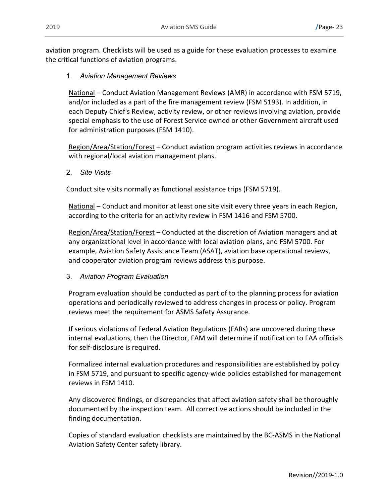aviation program. Checklists will be used as a guide for these evaluation processes to examine the critical functions of aviation programs.

1. *Aviation Management Reviews* 

National – Conduct Aviation Management Reviews (AMR) in accordance with FSM 5719, and/or included as a part of the fire management review (FSM 5193). In addition, in each Deputy Chief's Review, activity review, or other reviews involving aviation, provide special emphasis to the use of Forest Service owned or other Government aircraft used for administration purposes (FSM 1410).

Region/Area/Station/Forest – Conduct aviation program activities reviews in accordance with regional/local aviation management plans.

2. *Site Visits*

Conduct site visits normally as functional assistance trips (FSM 5719).

National – Conduct and monitor at least one site visit every three years in each Region, according to the criteria for an activity review in FSM 1416 and FSM 5700.

Region/Area/Station/Forest – Conducted at the discretion of Aviation managers and at any organizational level in accordance with local aviation plans, and FSM 5700. For example, Aviation Safety Assistance Team (ASAT), aviation base operational reviews, and cooperator aviation program reviews address this purpose.

3. *Aviation Program Evaluation*

Program evaluation should be conducted as part of to the planning process for aviation operations and periodically reviewed to address changes in process or policy. Program reviews meet the requirement for ASMS Safety Assurance.

If serious violations of Federal Aviation Regulations (FARs) are uncovered during these internal evaluations, then the Director, FAM will determine if notification to FAA officials for self-disclosure is required.

Formalized internal evaluation procedures and responsibilities are established by policy in FSM 5719, and pursuant to specific agency-wide policies established for management reviews in FSM 1410.

Any discovered findings, or discrepancies that affect aviation safety shall be thoroughly documented by the inspection team. All corrective actions should be included in the finding documentation.

Copies of standard evaluation checklists are maintained by the BC-ASMS in the National Aviation Safety Center safety library.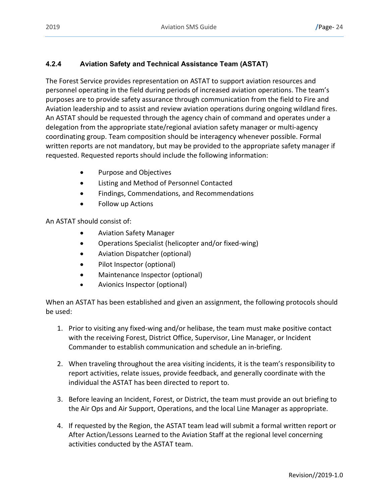## <span id="page-29-0"></span>**4.2.4 Aviation Safety and Technical Assistance Team (ASTAT)**

The Forest Service provides representation on ASTAT to support aviation resources and personnel operating in the field during periods of increased aviation operations. The team's purposes are to provide safety assurance through communication from the field to Fire and Aviation leadership and to assist and review aviation operations during ongoing wildland fires. An ASTAT should be requested through the agency chain of command and operates under a delegation from the appropriate state/regional aviation safety manager or multi-agency coordinating group. Team composition should be interagency whenever possible. Formal written reports are not mandatory, but may be provided to the appropriate safety manager if requested. Requested reports should include the following information:

- Purpose and Objectives
- Listing and Method of Personnel Contacted
- Findings, Commendations, and Recommendations
- Follow up Actions

An ASTAT should consist of:

- Aviation Safety Manager
- Operations Specialist (helicopter and/or fixed-wing)
- Aviation Dispatcher (optional)
- Pilot Inspector (optional)
- Maintenance Inspector (optional)
- Avionics Inspector (optional)

When an ASTAT has been established and given an assignment, the following protocols should be used:

- 1. Prior to visiting any fixed-wing and/or helibase, the team must make positive contact with the receiving Forest, District Office, Supervisor, Line Manager, or Incident Commander to establish communication and schedule an in-briefing.
- 2. When traveling throughout the area visiting incidents, it is the team's responsibility to report activities, relate issues, provide feedback, and generally coordinate with the individual the ASTAT has been directed to report to.
- 3. Before leaving an Incident, Forest, or District, the team must provide an out briefing to the Air Ops and Air Support, Operations, and the local Line Manager as appropriate.
- 4. If requested by the Region, the ASTAT team lead will submit a formal written report or After Action/Lessons Learned to the Aviation Staff at the regional level concerning activities conducted by the ASTAT team.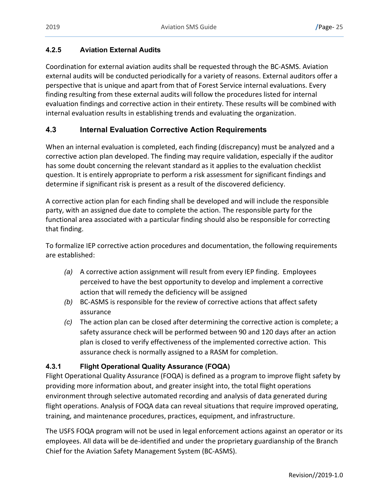## <span id="page-30-0"></span>**4.2.5 Aviation External Audits**

Coordination for external aviation audits shall be requested through the BC-ASMS. Aviation external audits will be conducted periodically for a variety of reasons. External auditors offer a perspective that is unique and apart from that of Forest Service internal evaluations. Every finding resulting from these external audits will follow the procedures listed for internal evaluation findings and corrective action in their entirety. These results will be combined with internal evaluation results in establishing trends and evaluating the organization.

## <span id="page-30-1"></span>**4.3 Internal Evaluation Corrective Action Requirements**

When an internal evaluation is completed, each finding (discrepancy) must be analyzed and a corrective action plan developed. The finding may require validation, especially if the auditor has some doubt concerning the relevant standard as it applies to the evaluation checklist question. It is entirely appropriate to perform a risk assessment for significant findings and determine if significant risk is present as a result of the discovered deficiency.

A corrective action plan for each finding shall be developed and will include the responsible party, with an assigned due date to complete the action. The responsible party for the functional area associated with a particular finding should also be responsible for correcting that finding.

To formalize IEP corrective action procedures and documentation, the following requirements are established:

- *(a)* A corrective action assignment will result from every IEP finding. Employees perceived to have the best opportunity to develop and implement a corrective action that will remedy the deficiency will be assigned
- *(b)* BC-ASMS is responsible for the review of corrective actions that affect safety assurance
- *(c)* The action plan can be closed after determining the corrective action is complete; a safety assurance check will be performed between 90 and 120 days after an action plan is closed to verify effectiveness of the implemented corrective action. This assurance check is normally assigned to a RASM for completion.

## <span id="page-30-2"></span>**4.3.1 Flight Operational Quality Assurance (FOQA)**

Flight Operational Quality Assurance (FOQA) is defined as a program to improve flight safety by providing more information about, and greater insight into, the total flight operations environment through selective automated recording and analysis of data generated during flight operations. Analysis of FOQA data can reveal situations that require improved operating, training, and maintenance procedures, practices, equipment, and infrastructure.

The USFS FOQA program will not be used in legal enforcement actions against an operator or its employees. All data will be de-identified and under the proprietary guardianship of the Branch Chief for the Aviation Safety Management System (BC-ASMS).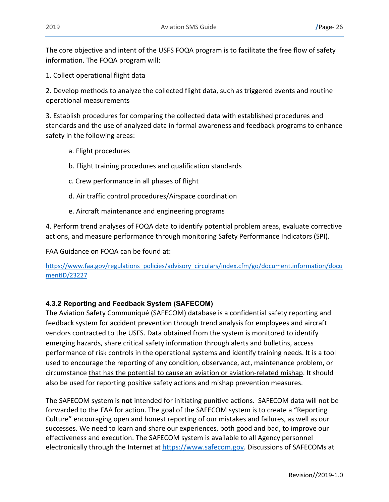The core objective and intent of the USFS FOQA program is to facilitate the free flow of safety information. The FOQA program will:

1. Collect operational flight data

2. Develop methods to analyze the collected flight data, such as triggered events and routine operational measurements

3. Establish procedures for comparing the collected data with established procedures and standards and the use of analyzed data in formal awareness and feedback programs to enhance safety in the following areas:

- a. Flight procedures
- b. Flight training procedures and qualification standards
- c. Crew performance in all phases of flight
- d. Air traffic control procedures/Airspace coordination
- e. Aircraft maintenance and engineering programs

4. Perform trend analyses of FOQA data to identify potential problem areas, evaluate corrective actions, and measure performance through monitoring Safety Performance Indicators (SPI).

FAA Guidance on FOQA can be found at:

[https://www.faa.gov/regulations\\_policies/advisory\\_circulars/index.cfm/go/document.information/docu](https://www.faa.gov/regulations_policies/advisory_circulars/index.cfm/go/document.information/documentID/23227) [mentID/23227](https://www.faa.gov/regulations_policies/advisory_circulars/index.cfm/go/document.information/documentID/23227)

#### <span id="page-31-0"></span>**4.3.2 Reporting and Feedback System (SAFECOM)**

The Aviation Safety Communiqué (SAFECOM) database is a confidential safety reporting and feedback system for accident prevention through trend analysis for employees and aircraft vendors contracted to the USFS. Data obtained from the system is monitored to identify emerging hazards, share critical safety information through alerts and bulletins, access performance of risk controls in the operational systems and identify training needs. It is a tool used to encourage the reporting of any condition, observance, act, maintenance problem, or circumstance that has the potential to cause an aviation or aviation-related mishap. It should also be used for reporting positive safety actions and mishap prevention measures.

The SAFECOM system is **not** intended for initiating punitive actions. SAFECOM data will not be forwarded to the FAA for action. The goal of the SAFECOM system is to create a "Reporting Culture" encouraging open and honest reporting of our mistakes and failures, as well as our successes. We need to learn and share our experiences, both good and bad, to improve our effectiveness and execution. The SAFECOM system is available to all Agency personnel electronically through the Internet at https://www.safecom.gov. Discussions of SAFECOMs at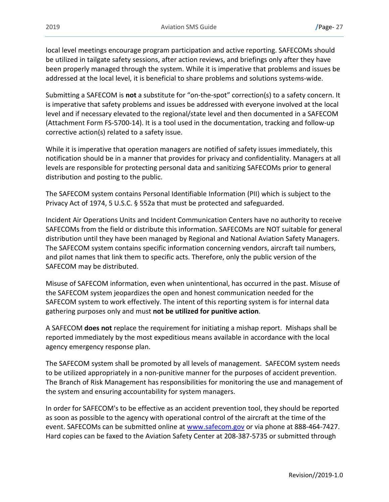local level meetings encourage program participation and active reporting. SAFECOMs should be utilized in tailgate safety sessions, after action reviews, and briefings only after they have been properly managed through the system. While it is imperative that problems and issues be addressed at the local level, it is beneficial to share problems and solutions systems-wide.

Submitting a SAFECOM is **not** a substitute for "on-the-spot" correction(s) to a safety concern. It is imperative that safety problems and issues be addressed with everyone involved at the local level and if necessary elevated to the regional/state level and then documented in a SAFECOM (Attachment Form FS-5700-14). It is a tool used in the documentation, tracking and follow-up corrective action(s) related to a safety issue.

While it is imperative that operation managers are notified of safety issues immediately, this notification should be in a manner that provides for privacy and confidentiality. Managers at all levels are responsible for protecting personal data and sanitizing SAFECOMs prior to general distribution and posting to the public.

The SAFECOM system contains Personal Identifiable Information (PII) which is subject to the Privacy Act of 1974, 5 U.S.C. § 552a that must be protected and safeguarded.

Incident Air Operations Units and Incident Communication Centers have no authority to receive SAFECOMs from the field or distribute this information. SAFECOMs are NOT suitable for general distribution until they have been managed by Regional and National Aviation Safety Managers. The SAFECOM system contains specific information concerning vendors, aircraft tail numbers, and pilot names that link them to specific acts. Therefore, only the public version of the SAFECOM may be distributed.

Misuse of SAFECOM information, even when unintentional, has occurred in the past. Misuse of the SAFECOM system jeopardizes the open and honest communication needed for the SAFECOM system to work effectively. The intent of this reporting system is for internal data gathering purposes only and must **not be utilized for punitive action**.

A SAFECOM **does not** replace the requirement for initiating a mishap report. Mishaps shall be reported immediately by the most expeditious means available in accordance with the local agency emergency response plan.

The SAFECOM system shall be promoted by all levels of management. SAFECOM system needs to be utilized appropriately in a non-punitive manner for the purposes of accident prevention. The Branch of Risk Management has responsibilities for monitoring the use and management of the system and ensuring accountability for system managers.

In order for SAFECOM's to be effective as an accident prevention tool, they should be reported as soon as possible to the agency with operational control of the aircraft at the time of the event. SAFECOMs can be submitted online at www.safecom.gov or via phone at 888-464-7427. Hard copies can be faxed to the Aviation Safety Center at 208-387-5735 or submitted through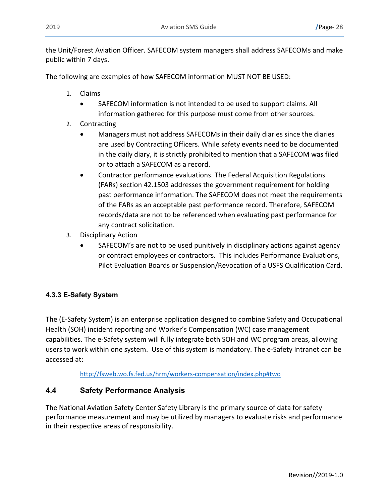the Unit/Forest Aviation Officer. SAFECOM system managers shall address SAFECOMs and make public within 7 days.

The following are examples of how SAFECOM information MUST NOT BE USED:

- 1. Claims
	- SAFECOM information is not intended to be used to support claims. All information gathered for this purpose must come from other sources.
- 2. Contracting
	- Managers must not address SAFECOMs in their daily diaries since the diaries are used by Contracting Officers. While safety events need to be documented in the daily diary, it is strictly prohibited to mention that a SAFECOM was filed or to attach a SAFECOM as a record.
	- Contractor performance evaluations. The Federal Acquisition Regulations (FARs) section 42.1503 addresses the government requirement for holding past performance information. The SAFECOM does not meet the requirements of the FARs as an acceptable past performance record. Therefore, SAFECOM records/data are not to be referenced when evaluating past performance for any contract solicitation.
- 3. Disciplinary Action
	- SAFECOM's are not to be used punitively in disciplinary actions against agency or contract employees or contractors. This includes Performance Evaluations, Pilot Evaluation Boards or Suspension/Revocation of a USFS Qualification Card.

## <span id="page-33-0"></span>**4.3.3 E-Safety System**

The (E-Safety System) is an enterprise application designed to combine Safety and Occupational Health (SOH) incident reporting and Worker's Compensation (WC) case management capabilities. The e-Safety system will fully integrate both SOH and WC program areas, allowing users to work within one system. Use of this system is mandatory. The e-Safety Intranet can be accessed at:

<http://fsweb.wo.fs.fed.us/hrm/workers-compensation/index.php#two>

## <span id="page-33-1"></span>**4.4 Safety Performance Analysis**

The National Aviation Safety Center Safety Library is the primary source of data for safety performance measurement and may be utilized by managers to evaluate risks and performance in their respective areas of responsibility.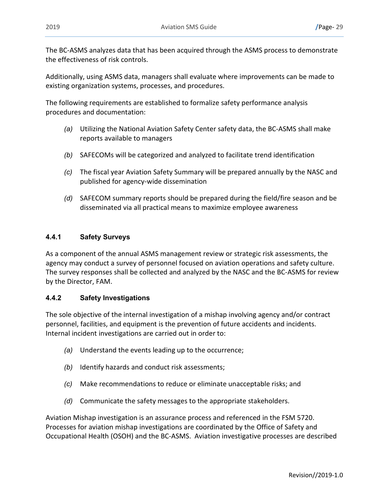The BC-ASMS analyzes data that has been acquired through the ASMS process to demonstrate the effectiveness of risk controls.

Additionally, using ASMS data, managers shall evaluate where improvements can be made to existing organization systems, processes, and procedures.

The following requirements are established to formalize safety performance analysis procedures and documentation:

- *(a)* Utilizing the National Aviation Safety Center safety data, the BC-ASMS shall make reports available to managers
- *(b)* SAFECOMs will be categorized and analyzed to facilitate trend identification
- *(c)* The fiscal year Aviation Safety Summary will be prepared annually by the NASC and published for agency-wide dissemination
- *(d)* SAFECOM summary reports should be prepared during the field/fire season and be disseminated via all practical means to maximize employee awareness

#### <span id="page-34-0"></span>**4.4.1 Safety Surveys**

As a component of the annual ASMS management review or strategic risk assessments, the agency may conduct a survey of personnel focused on aviation operations and safety culture. The survey responses shall be collected and analyzed by the NASC and the BC-ASMS for review by the Director, FAM.

#### <span id="page-34-1"></span>**4.4.2 Safety Investigations**

The sole objective of the internal investigation of a mishap involving agency and/or contract personnel, facilities, and equipment is the prevention of future accidents and incidents. Internal incident investigations are carried out in order to:

- *(a)* Understand the events leading up to the occurrence;
- *(b)* Identify hazards and conduct risk assessments;
- *(c)* Make recommendations to reduce or eliminate unacceptable risks; and
- *(d)* Communicate the safety messages to the appropriate stakeholders.

Aviation Mishap investigation is an assurance process and referenced in the FSM 5720. Processes for aviation mishap investigations are coordinated by the Office of Safety and Occupational Health (OSOH) and the BC-ASMS. Aviation investigative processes are described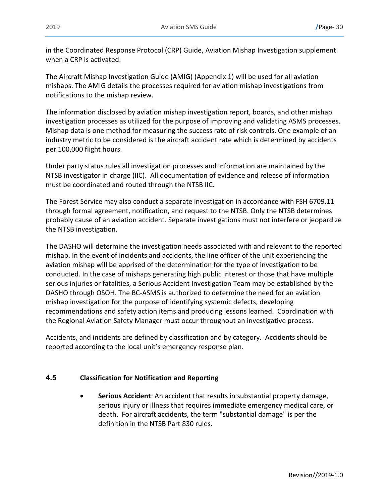in the Coordinated Response Protocol (CRP) Guide, Aviation Mishap Investigation supplement when a CRP is activated.

The Aircraft Mishap Investigation Guide (AMIG) (Appendix 1) will be used for all aviation mishaps. The AMIG details the processes required for aviation mishap investigations from notifications to the mishap review.

The information disclosed by aviation mishap investigation report, boards, and other mishap investigation processes as utilized for the purpose of improving and validating ASMS processes. Mishap data is one method for measuring the success rate of risk controls. One example of an industry metric to be considered is the aircraft accident rate which is determined by accidents per 100,000 flight hours.

Under party status rules all investigation processes and information are maintained by the NTSB investigator in charge (IIC). All documentation of evidence and release of information must be coordinated and routed through the NTSB IIC.

The Forest Service may also conduct a separate investigation in accordance with FSH 6709.11 through formal agreement, notification, and request to the NTSB. Only the NTSB determines probably cause of an aviation accident. Separate investigations must not interfere or jeopardize the NTSB investigation.

The DASHO will determine the investigation needs associated with and relevant to the reported mishap. In the event of incidents and accidents, the line officer of the unit experiencing the aviation mishap will be apprised of the determination for the type of investigation to be conducted. In the case of mishaps generating high public interest or those that have multiple serious injuries or fatalities, a Serious Accident Investigation Team may be established by the DASHO through OSOH. The BC-ASMS is authorized to determine the need for an aviation mishap investigation for the purpose of identifying systemic defects, developing recommendations and safety action items and producing lessons learned. Coordination with the Regional Aviation Safety Manager must occur throughout an investigative process.

Accidents, and incidents are defined by classification and by category. Accidents should be reported according to the local unit's emergency response plan.

#### <span id="page-35-0"></span>**4.5 Classification for Notification and Reporting**

• **Serious Accident**: An accident that results in substantial property damage, serious injury or illness that requires immediate emergency medical care, or death. For aircraft accidents, the term "substantial damage" is per the definition in the NTSB Part 830 rules.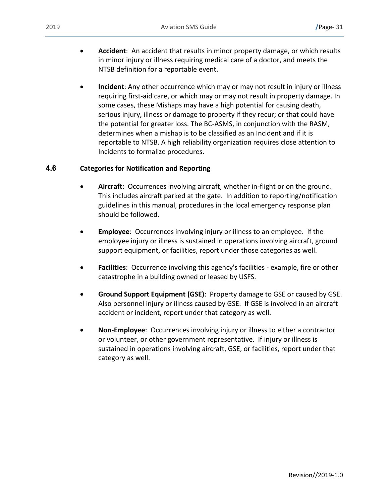- **Accident**: An accident that results in minor property damage, or which results in minor injury or illness requiring medical care of a doctor, and meets the NTSB definition for a reportable event.
- **Incident**: Any other occurrence which may or may not result in injury or illness requiring first-aid care, or which may or may not result in property damage. In some cases, these Mishaps may have a high potential for causing death, serious injury, illness or damage to property if they recur; or that could have the potential for greater loss. The BC-ASMS, in conjunction with the RASM, determines when a mishap is to be classified as an Incident and if it is reportable to NTSB. A high reliability organization requires close attention to Incidents to formalize procedures.

#### <span id="page-36-0"></span>**4.6 Categories for Notification and Reporting**

- **Aircraft**: Occurrences involving aircraft, whether in-flight or on the ground. This includes aircraft parked at the gate. In addition to reporting/notification guidelines in this manual, procedures in the local emergency response plan should be followed.
- **Employee**: Occurrences involving injury or illness to an employee. If the employee injury or illness is sustained in operations involving aircraft, ground support equipment, or facilities, report under those categories as well.
- **Facilities**: Occurrence involving this agency's facilities example, fire or other catastrophe in a building owned or leased by USFS.
- **Ground Support Equipment (GSE)**: Property damage to GSE or caused by GSE. Also personnel injury or illness caused by GSE. If GSE is involved in an aircraft accident or incident, report under that category as well.
- **Non-Employee**: Occurrences involving injury or illness to either a contractor or volunteer, or other government representative. If injury or illness is sustained in operations involving aircraft, GSE, or facilities, report under that category as well.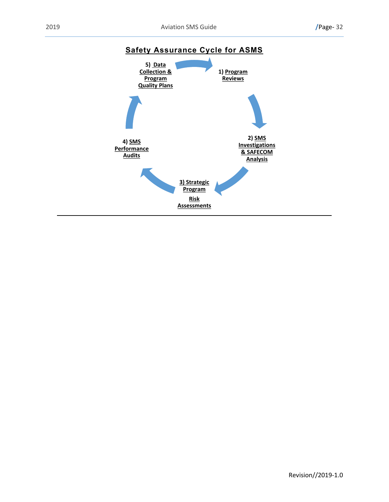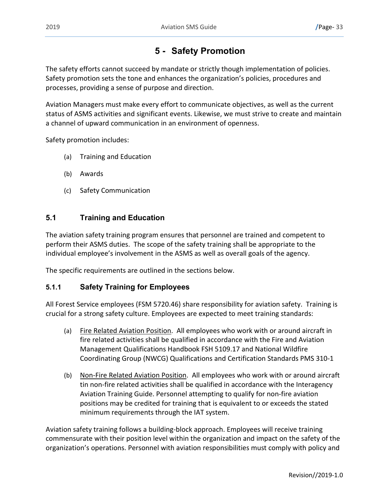# **5 - Safety Promotion**

<span id="page-38-0"></span>The safety efforts cannot succeed by mandate or strictly though implementation of policies. Safety promotion sets the tone and enhances the organization's policies, procedures and processes, providing a sense of purpose and direction.

Aviation Managers must make every effort to communicate objectives, as well as the current status of ASMS activities and significant events. Likewise, we must strive to create and maintain a channel of upward communication in an environment of openness.

Safety promotion includes:

- (a) Training and Education
- (b) Awards
- (c) Safety Communication

## <span id="page-38-1"></span>**5.1 Training and Education**

The aviation safety training program ensures that personnel are trained and competent to perform their ASMS duties. The scope of the safety training shall be appropriate to the individual employee's involvement in the ASMS as well as overall goals of the agency.

The specific requirements are outlined in the sections below.

## <span id="page-38-2"></span>**5.1.1 Safety Training for Employees**

All Forest Service employees (FSM 5720.46) share responsibility for aviation safety. Training is crucial for a strong safety culture. Employees are expected to meet training standards:

- (a) Fire Related Aviation Position. All employees who work with or around aircraft in fire related activities shall be qualified in accordance with the Fire and Aviation Management Qualifications Handbook FSH 5109.17 and National Wildfire Coordinating Group (NWCG) Qualifications and Certification Standards PMS 310-1
- (b) Non-Fire Related Aviation Position. All employees who work with or around aircraft tin non-fire related activities shall be qualified in accordance with the Interagency Aviation Training Guide. Personnel attempting to qualify for non-fire aviation positions may be credited for training that is equivalent to or exceeds the stated minimum requirements through the IAT system.

Aviation safety training follows a building-block approach. Employees will receive training commensurate with their position level within the organization and impact on the safety of the organization's operations. Personnel with aviation responsibilities must comply with policy and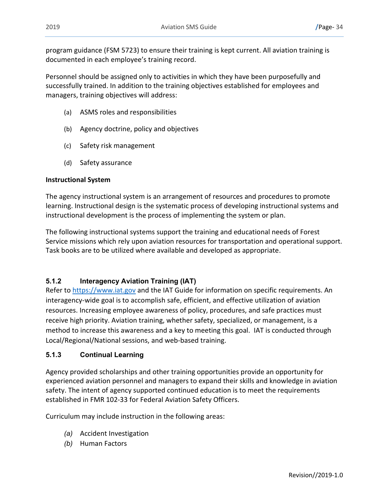program guidance (FSM 5723) to ensure their training is kept current. All aviation training is documented in each employee's training record.

Personnel should be assigned only to activities in which they have been purposefully and successfully trained. In addition to the training objectives established for employees and managers, training objectives will address:

- (a) ASMS roles and responsibilities
- (b) Agency doctrine, policy and objectives
- (c) Safety risk management
- (d) Safety assurance

#### **Instructional System**

The agency instructional system is an arrangement of resources and procedures to promote learning. Instructional design is the systematic process of developing instructional systems and instructional development is the process of implementing the system or plan.

The following instructional systems support the training and educational needs of Forest Service missions which rely upon aviation resources for transportation and operational support. Task books are to be utilized where available and developed as appropriate.

## <span id="page-39-0"></span>**5.1.2 Interagency Aviation Training (IAT)**

Refer to https://www.iat.gov and the IAT Guide for information on specific requirements. An interagency-wide goal is to accomplish safe, efficient, and effective utilization of aviation resources. Increasing employee awareness of policy, procedures, and safe practices must receive high priority. Aviation training, whether safety, specialized, or management, is a method to increase this awareness and a key to meeting this goal. IAT is conducted through Local/Regional/National sessions, and web-based training.

#### <span id="page-39-1"></span>**5.1.3 Continual Learning**

Agency provided scholarships and other training opportunities provide an opportunity for experienced aviation personnel and managers to expand their skills and knowledge in aviation safety. The intent of agency supported continued education is to meet the requirements established in FMR 102-33 for Federal Aviation Safety Officers.

Curriculum may include instruction in the following areas:

- *(a)* Accident Investigation
- *(b)* Human Factors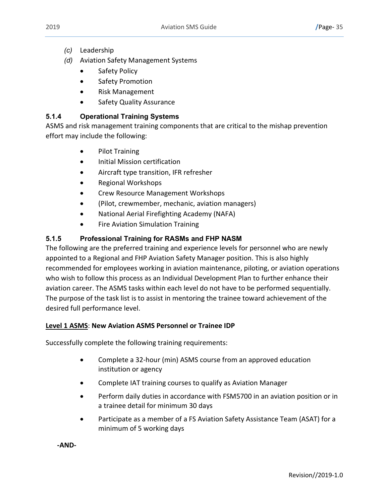- *(c)* Leadership
- *(d)* Aviation Safety Management Systems
	- Safety Policy
	- Safety Promotion
	- Risk Management
	- Safety Quality Assurance

## <span id="page-40-0"></span>**5.1.4 Operational Training Systems**

ASMS and risk management training components that are critical to the mishap prevention effort may include the following:

- Pilot Training
- Initial Mission certification
- Aircraft type transition, IFR refresher
- Regional Workshops
- Crew Resource Management Workshops
- (Pilot, crewmember, mechanic, aviation managers)
- National Aerial Firefighting Academy (NAFA)
- Fire Aviation Simulation Training

## <span id="page-40-1"></span>**5.1.5 Professional Training for RASMs and FHP NASM**

The following are the preferred training and experience levels for personnel who are newly appointed to a Regional and FHP Aviation Safety Manager position. This is also highly recommended for employees working in aviation maintenance, piloting, or aviation operations who wish to follow this process as an Individual Development Plan to further enhance their aviation career. The ASMS tasks within each level do not have to be performed sequentially. The purpose of the task list is to assist in mentoring the trainee toward achievement of the desired full performance level.

## **Level 1 ASMS**: **New Aviation ASMS Personnel or Trainee IDP**

Successfully complete the following training requirements:

- Complete a 32-hour (min) ASMS course from an approved education institution or agency
- Complete IAT training courses to qualify as Aviation Manager
- Perform daily duties in accordance with FSM5700 in an aviation position or in a trainee detail for minimum 30 days
- Participate as a member of a FS Aviation Safety Assistance Team (ASAT) for a minimum of 5 working days

**-AND-**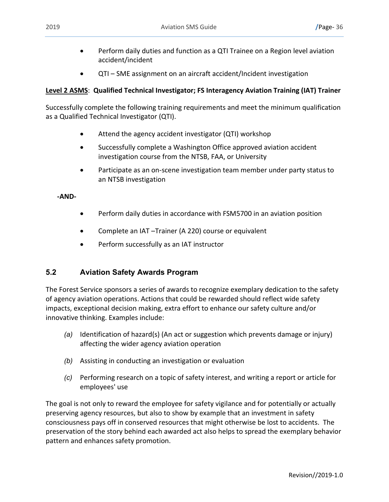- Perform daily duties and function as a QTI Trainee on a Region level aviation accident/incident
- QTI SME assignment on an aircraft accident/Incident investigation

#### **Level 2 ASMS**: **Qualified Technical Investigator; FS Interagency Aviation Training (IAT) Trainer**

Successfully complete the following training requirements and meet the minimum qualification as a Qualified Technical Investigator (QTI).

- Attend the agency accident investigator (QTI) workshop
- Successfully complete a Washington Office approved aviation accident investigation course from the NTSB, FAA, or University
- Participate as an on-scene investigation team member under party status to an NTSB investigation

**-AND-**

- Perform daily duties in accordance with FSM5700 in an aviation position
- Complete an IAT –Trainer (A 220) course or equivalent
- Perform successfully as an IAT instructor

#### <span id="page-41-0"></span>**5.2 Aviation Safety Awards Program**

The Forest Service sponsors a series of awards to recognize exemplary dedication to the safety of agency aviation operations. Actions that could be rewarded should reflect wide safety impacts, exceptional decision making, extra effort to enhance our safety culture and/or innovative thinking. Examples include:

- *(a)* Identification of hazard(s) (An act or suggestion which prevents damage or injury) affecting the wider agency aviation operation
- *(b)* Assisting in conducting an investigation or evaluation
- *(c)* Performing research on a topic of safety interest, and writing a report or article for employees' use

The goal is not only to reward the employee for safety vigilance and for potentially or actually preserving agency resources, but also to show by example that an investment in safety consciousness pays off in conserved resources that might otherwise be lost to accidents. The preservation of the story behind each awarded act also helps to spread the exemplary behavior pattern and enhances safety promotion.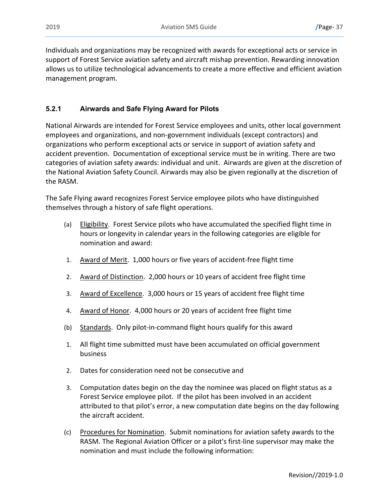Individuals and organizations may be recognized with awards for exceptional acts or service in support of Forest Service aviation safety and aircraft mishap prevention. Rewarding innovation allows us to utilize technological advancements to create a more effective and efficient aviation management program.

#### <span id="page-42-0"></span>**5.2.1 Airwards and Safe Flying Award for Pilots**

National Airwards are intended for Forest Service employees and units, other local government employees and organizations, and non-government individuals (except contractors) and organizations who perform exceptional acts or service in support of aviation safety and accident prevention. Documentation of exceptional service must be in writing. There are two categories of aviation safety awards: individual and unit. Airwards are given at the discretion of the National Aviation Safety Council. Airwards may also be given regionally at the discretion of the RASM.

The Safe Flying award recognizes Forest Service employee pilots who have distinguished themselves through a history of safe flight operations.

- (a) Eligibility. Forest Service pilots who have accumulated the specified flight time in hours or longevity in calendar years in the following categories are eligible for nomination and award:
- 1. Award of Merit. 1,000 hours or five years of accident-free flight time
- 2. Award of Distinction. 2,000 hours or 10 years of accident free flight time
- 3. Award of Excellence. 3,000 hours or 15 years of accident free flight time
- 4. Award of Honor. 4,000 hours or 20 years of accident free flight time
- (b) Standards. Only pilot-in-command flight hours qualify for this award
- 1. All flight time submitted must have been accumulated on official government business
- 2. Dates for consideration need not be consecutive and
- 3. Computation dates begin on the day the nominee was placed on flight status as a Forest Service employee pilot. If the pilot has been involved in an accident attributed to that pilot's error, a new computation date begins on the day following the aircraft accident.
- (c) Procedures for Nomination. Submit nominations for aviation safety awards to the RASM. The Regional Aviation Officer or a pilot's first-line supervisor may make the nomination and must include the following information: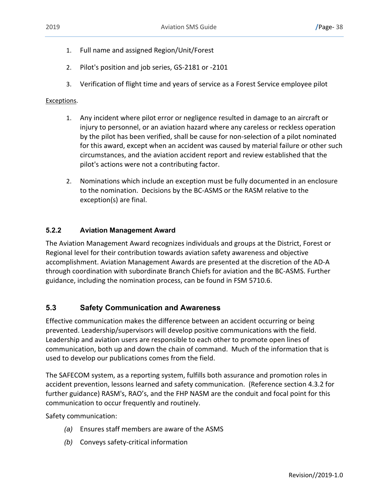- 1. Full name and assigned Region/Unit/Forest
- 2. Pilot's position and job series, GS-2181 or -2101
- 3. Verification of flight time and years of service as a Forest Service employee pilot

#### Exceptions.

- 1. Any incident where pilot error or negligence resulted in damage to an aircraft or injury to personnel, or an aviation hazard where any careless or reckless operation by the pilot has been verified, shall be cause for non-selection of a pilot nominated for this award, except when an accident was caused by material failure or other such circumstances, and the aviation accident report and review established that the pilot's actions were not a contributing factor.
- 2. Nominations which include an exception must be fully documented in an enclosure to the nomination. Decisions by the BC-ASMS or the RASM relative to the exception(s) are final.

#### <span id="page-43-0"></span>**5.2.2 Aviation Management Award**

The Aviation Management Award recognizes individuals and groups at the District, Forest or Regional level for their contribution towards aviation safety awareness and objective accomplishment. Aviation Management Awards are presented at the discretion of the AD-A through coordination with subordinate Branch Chiefs for aviation and the BC-ASMS. Further guidance, including the nomination process, can be found in FSM 5710.6.

## <span id="page-43-1"></span>**5.3 Safety Communication and Awareness**

Effective communication makes the difference between an accident occurring or being prevented. Leadership/supervisors will develop positive communications with the field. Leadership and aviation users are responsible to each other to promote open lines of communication, both up and down the chain of command. Much of the information that is used to develop our publications comes from the field.

The SAFECOM system, as a reporting system, fulfills both assurance and promotion roles in accident prevention, lessons learned and safety communication. (Reference section 4.3.2 for further guidance) RASM's, RAO's, and the FHP NASM are the conduit and focal point for this communication to occur frequently and routinely.

Safety communication:

- *(a)* Ensures staff members are aware of the ASMS
- *(b)* Conveys safety-critical information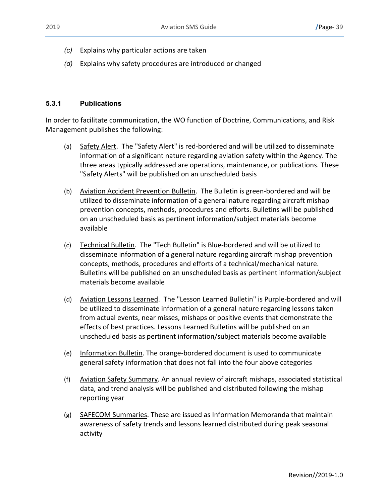- *(c)* Explains why particular actions are taken
- *(d)* Explains why safety procedures are introduced or changed

#### <span id="page-44-0"></span>**5.3.1 Publications**

In order to facilitate communication, the WO function of Doctrine, Communications, and Risk Management publishes the following:

- (a) Safety Alert. The "Safety Alert" is red-bordered and will be utilized to disseminate information of a significant nature regarding aviation safety within the Agency. The three areas typically addressed are operations, maintenance, or publications. These "Safety Alerts" will be published on an unscheduled basis
- (b) Aviation Accident Prevention Bulletin. The Bulletin is green-bordered and will be utilized to disseminate information of a general nature regarding aircraft mishap prevention concepts, methods, procedures and efforts. Bulletins will be published on an unscheduled basis as pertinent information/subject materials become available
- (c) Technical Bulletin. The "Tech Bulletin" is Blue-bordered and will be utilized to disseminate information of a general nature regarding aircraft mishap prevention concepts, methods, procedures and efforts of a technical/mechanical nature. Bulletins will be published on an unscheduled basis as pertinent information/subject materials become available
- (d) Aviation Lessons Learned. The "Lesson Learned Bulletin" is Purple-bordered and will be utilized to disseminate information of a general nature regarding lessons taken from actual events, near misses, mishaps or positive events that demonstrate the effects of best practices. Lessons Learned Bulletins will be published on an unscheduled basis as pertinent information/subject materials become available
- (e) Information Bulletin. The orange-bordered document is used to communicate general safety information that does not fall into the four above categories
- (f) Aviation Safety Summary. An annual review of aircraft mishaps, associated statistical data, and trend analysis will be published and distributed following the mishap reporting year
- (g) SAFECOM Summaries. These are issued as Information Memoranda that maintain awareness of safety trends and lessons learned distributed during peak seasonal activity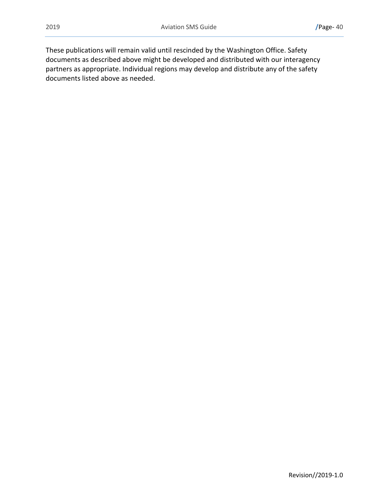These publications will remain valid until rescinded by the Washington Office. Safety documents as described above might be developed and distributed with our interagency partners as appropriate. Individual regions may develop and distribute any of the safety documents listed above as needed.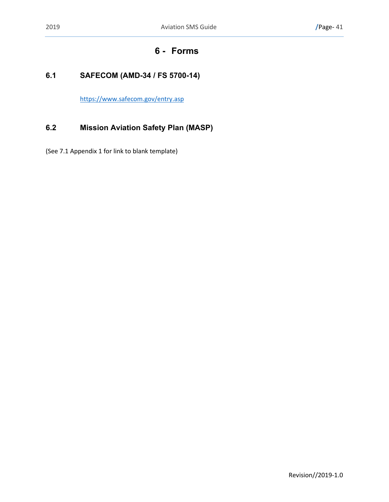# **6 - Forms**

# <span id="page-46-1"></span><span id="page-46-0"></span>**6.1 SAFECOM (AMD-34 / FS 5700-14)**

<https://www.safecom.gov/entry.asp>

# <span id="page-46-2"></span>**6.2 Mission Aviation Safety Plan (MASP)**

(See 7.1 Appendix 1 for link to blank template)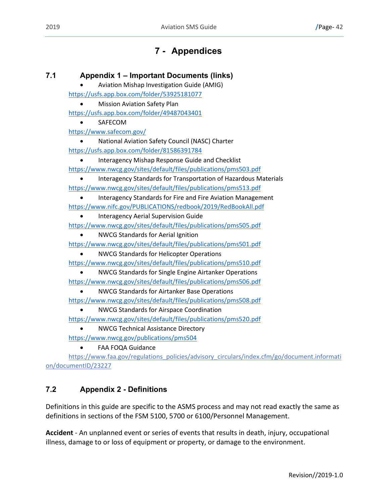# **7 - Appendices**

# <span id="page-47-1"></span><span id="page-47-0"></span>**7.1 Appendix 1 – Important Documents (links)**

• Aviation Mishap Investigation Guide (AMIG) <https://usfs.app.box.com/folder/53925181077>

• Mission Aviation Safety Plan

<https://usfs.app.box.com/folder/49487043401>

• SAFECOM

<https://www.safecom.gov/>

• National Aviation Safety Council (NASC) Charter

<https://usfs.app.box.com/folder/81586391784>

• Interagency Mishap Response Guide and Checklist <https://www.nwcg.gov/sites/default/files/publications/pms503.pdf>

• Interagency Standards for Transportation of Hazardous Materials <https://www.nwcg.gov/sites/default/files/publications/pms513.pdf>

- Interagency Standards for Fire and Fire Aviation Management <https://www.nifc.gov/PUBLICATIONS/redbook/2019/RedBookAll.pdf>
	- Interagency Aerial Supervision Guide

<https://www.nwcg.gov/sites/default/files/publications/pms505.pdf>

• NWCG Standards for Aerial Ignition

<https://www.nwcg.gov/sites/default/files/publications/pms501.pdf>

• NWCG Standards for Helicopter Operations

<https://www.nwcg.gov/sites/default/files/publications/pms510.pdf>

• NWCG Standards for Single Engine Airtanker Operations

<https://www.nwcg.gov/sites/default/files/publications/pms506.pdf>

• NWCG Standards for Airtanker Base Operations

<https://www.nwcg.gov/sites/default/files/publications/pms508.pdf>

• NWCG Standards for Airspace Coordination

<https://www.nwcg.gov/sites/default/files/publications/pms520.pdf>

• NWCG Technical Assistance Directory

<https://www.nwcg.gov/publications/pms504>

• FAA FOQA Guidance

https://www.faa.gov/regulations\_policies/advisory\_circulars/index.cfm/go/document.informati on/documentID/23227

# <span id="page-47-2"></span>**7.2 Appendix 2 - Definitions**

Definitions in this guide are specific to the ASMS process and may not read exactly the same as definitions in sections of the FSM 5100, 5700 or 6100/Personnel Management.

**Accident** - An unplanned event or series of events that results in death, injury, occupational illness, damage to or loss of equipment or property, or damage to the environment.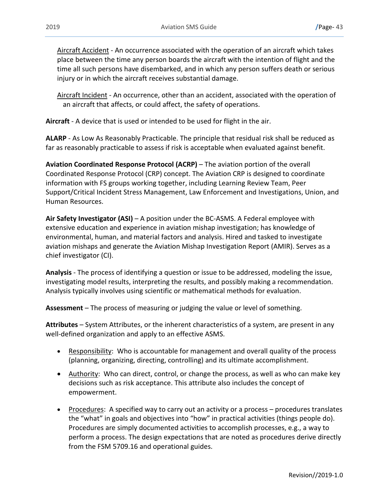Aircraft Accident - An occurrence associated with the operation of an aircraft which takes place between the time any person boards the aircraft with the intention of flight and the time all such persons have disembarked, and in which any person suffers death or serious injury or in which the aircraft receives substantial damage.

Aircraft Incident - An occurrence, other than an accident, associated with the operation of an aircraft that affects, or could affect, the safety of operations.

**Aircraft** - A device that is used or intended to be used for flight in the air.

**ALARP** - As Low As Reasonably Practicable. The principle that residual risk shall be reduced as far as reasonably practicable to assess if risk is acceptable when evaluated against benefit.

**Aviation Coordinated Response Protocol (ACRP)** – The aviation portion of the overall Coordinated Response Protocol (CRP) concept. The Aviation CRP is designed to coordinate information with FS groups working together, including Learning Review Team, Peer Support/Critical Incident Stress Management, Law Enforcement and Investigations, Union, and Human Resources.

**Air Safety Investigator (ASI)** – A position under the BC-ASMS. A Federal employee with extensive education and experience in aviation mishap investigation; has knowledge of environmental, human, and material factors and analysis. Hired and tasked to investigate aviation mishaps and generate the Aviation Mishap Investigation Report (AMIR). Serves as a chief investigator (CI).

**Analysis** - The process of identifying a question or issue to be addressed, modeling the issue, investigating model results, interpreting the results, and possibly making a recommendation. Analysis typically involves using scientific or mathematical methods for evaluation.

**Assessment** – The process of measuring or judging the value or level of something.

**Attributes** – System Attributes, or the inherent characteristics of a system, are present in any well-defined organization and apply to an effective ASMS.

- Responsibility: Who is accountable for management and overall quality of the process (planning, organizing, directing, controlling) and its ultimate accomplishment.
- Authority: Who can direct, control, or change the process, as well as who can make key decisions such as risk acceptance. This attribute also includes the concept of empowerment.
- Procedures: A specified way to carry out an activity or a process procedures translates the "what" in goals and objectives into "how" in practical activities (things people do). Procedures are simply documented activities to accomplish processes, e.g., a way to perform a process. The design expectations that are noted as procedures derive directly from the FSM 5709.16 and operational guides.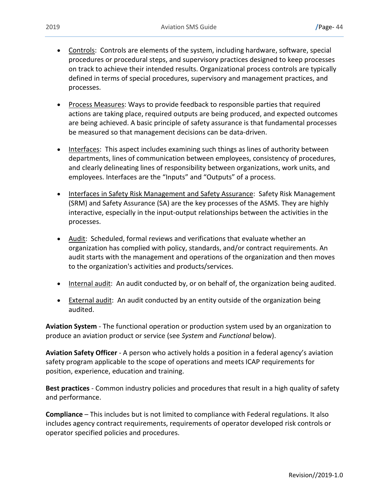- Controls: Controls are elements of the system, including hardware, software, special procedures or procedural steps, and supervisory practices designed to keep processes on track to achieve their intended results. Organizational process controls are typically defined in terms of special procedures, supervisory and management practices, and processes.
- Process Measures: Ways to provide feedback to responsible parties that required actions are taking place, required outputs are being produced, and expected outcomes are being achieved. A basic principle of safety assurance is that fundamental processes be measured so that management decisions can be data-driven.
- Interfaces: This aspect includes examining such things as lines of authority between departments, lines of communication between employees, consistency of procedures, and clearly delineating lines of responsibility between organizations, work units, and employees. Interfaces are the "Inputs" and "Outputs" of a process.
- Interfaces in Safety Risk Management and Safety Assurance: Safety Risk Management (SRM) and Safety Assurance (SA) are the key processes of the ASMS. They are highly interactive, especially in the input-output relationships between the activities in the processes.
- Audit: Scheduled, formal reviews and verifications that evaluate whether an organization has complied with policy, standards, and/or contract requirements. An audit starts with the management and operations of the organization and then moves to the organization's activities and products/services.
- Internal audit: An audit conducted by, or on behalf of, the organization being audited.
- External audit: An audit conducted by an entity outside of the organization being audited.

**Aviation System** - The functional operation or production system used by an organization to produce an aviation product or service (see *System* and *Functional* below).

**Aviation Safety Officer** - A person who actively holds a position in a federal agency's aviation safety program applicable to the scope of operations and meets ICAP requirements for position, experience, education and training.

**Best practices** - Common industry policies and procedures that result in a high quality of safety and performance.

**Compliance** – This includes but is not limited to compliance with Federal regulations. It also includes agency contract requirements, requirements of operator developed risk controls or operator specified policies and procedures.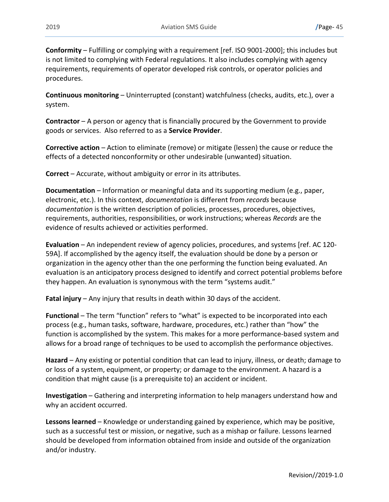**Conformity** – Fulfilling or complying with a requirement [ref. ISO 9001-2000]; this includes but is not limited to complying with Federal regulations. It also includes complying with agency requirements, requirements of operator developed risk controls, or operator policies and procedures.

**Continuous monitoring** – Uninterrupted (constant) watchfulness (checks, audits, etc.), over a system.

**Contractor** – A person or agency that is financially procured by the Government to provide goods or services. Also referred to as a **Service Provider**.

**Corrective action** – Action to eliminate (remove) or mitigate (lessen) the cause or reduce the effects of a detected nonconformity or other undesirable (unwanted) situation.

**Correct** – Accurate, without ambiguity or error in its attributes.

**Documentation** – Information or meaningful data and its supporting medium (e.g., paper, electronic, etc.). In this context, *documentation* is different from *records* because *documentation* is the written description of policies, processes, procedures, objectives, requirements, authorities, responsibilities, or work instructions; whereas *Records* are the evidence of results achieved or activities performed.

**Evaluation** – An independent review of agency policies, procedures, and systems [ref. AC 120- 59A]. If accomplished by the agency itself, the evaluation should be done by a person or organization in the agency other than the one performing the function being evaluated. An evaluation is an anticipatory process designed to identify and correct potential problems before they happen. An evaluation is synonymous with the term "systems audit."

**Fatal injury** – Any injury that results in death within 30 days of the accident.

**Functional** – The term "function" refers to "what" is expected to be incorporated into each process (e.g., human tasks, software, hardware, procedures, etc.) rather than "how" the function is accomplished by the system. This makes for a more performance-based system and allows for a broad range of techniques to be used to accomplish the performance objectives.

**Hazard** – Any existing or potential condition that can lead to injury, illness, or death; damage to or loss of a system, equipment, or property; or damage to the environment. A hazard is a condition that might cause (is a prerequisite to) an accident or incident.

**Investigation** – Gathering and interpreting information to help managers understand how and why an accident occurred.

**Lessons learned** – Knowledge or understanding gained by experience, which may be positive, such as a successful test or mission, or negative, such as a mishap or failure. Lessons learned should be developed from information obtained from inside and outside of the organization and/or industry.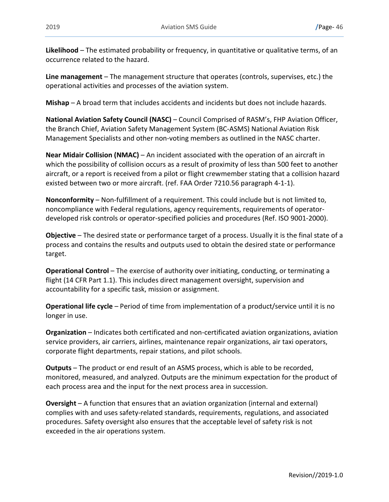**Likelihood** – The estimated probability or frequency, in quantitative or qualitative terms, of an occurrence related to the hazard.

**Line management** – The management structure that operates (controls, supervises, etc.) the operational activities and processes of the aviation system.

**Mishap** – A broad term that includes accidents and incidents but does not include hazards.

**National Aviation Safety Council (NASC)** – Council Comprised of RASM's, FHP Aviation Officer, the Branch Chief, Aviation Safety Management System (BC-ASMS) National Aviation Risk Management Specialists and other non-voting members as outlined in the NASC charter.

**Near Midair Collision (NMAC)** – An incident associated with the operation of an aircraft in which the possibility of collision occurs as a result of proximity of less than 500 feet to another aircraft, or a report is received from a pilot or flight crewmember stating that a collision hazard existed between two or more aircraft. (ref. FAA Order 7210.56 paragraph 4-1-1).

**Nonconformity** – Non-fulfillment of a requirement. This could include but is not limited to, noncompliance with Federal regulations, agency requirements, requirements of operatordeveloped risk controls or operator-specified policies and procedures (Ref. ISO 9001-2000).

**Objective** – The desired state or performance target of a process. Usually it is the final state of a process and contains the results and outputs used to obtain the desired state or performance target.

**Operational Control** – The exercise of authority over initiating, conducting, or terminating a flight (14 CFR Part 1.1). This includes direct management oversight, supervision and accountability for a specific task, mission or assignment.

**Operational life cycle** – Period of time from implementation of a product/service until it is no longer in use.

**Organization** – Indicates both certificated and non-certificated aviation organizations, aviation service providers, air carriers, airlines, maintenance repair organizations, air taxi operators, corporate flight departments, repair stations, and pilot schools.

**Outputs** – The product or end result of an ASMS process, which is able to be recorded, monitored, measured, and analyzed. Outputs are the minimum expectation for the product of each process area and the input for the next process area in succession.

**Oversight** – A function that ensures that an aviation organization (internal and external) complies with and uses safety-related standards, requirements, regulations, and associated procedures. Safety oversight also ensures that the acceptable level of safety risk is not exceeded in the air operations system.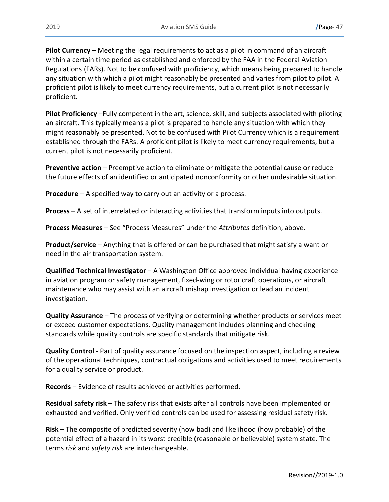**Pilot Currency** – Meeting the legal requirements to act as a pilot in command of an aircraft within a certain time period as established and enforced by the FAA in the Federal Aviation Regulations (FARs). Not to be confused with proficiency, which means being prepared to handle any situation with which a pilot might reasonably be presented and varies from pilot to pilot. A proficient pilot is likely to meet currency requirements, but a current pilot is not necessarily proficient.

**Pilot Proficiency** –Fully competent in the art, science, skill, and subjects associated with piloting an aircraft. This typically means a pilot is prepared to handle any situation with which they might reasonably be presented. Not to be confused with Pilot Currency which is a requirement established through the FARs. A proficient pilot is likely to meet currency requirements, but a current pilot is not necessarily proficient.

**Preventive action** – Preemptive action to eliminate or mitigate the potential cause or reduce the future effects of an identified or anticipated nonconformity or other undesirable situation.

**Procedure** – A specified way to carry out an activity or a process.

**Process** – A set of interrelated or interacting activities that transform inputs into outputs.

**Process Measures** – See "Process Measures" under the *Attributes* definition, above.

**Product/service** – Anything that is offered or can be purchased that might satisfy a want or need in the air transportation system.

**Qualified Technical Investigator** – A Washington Office approved individual having experience in aviation program or safety management, fixed-wing or rotor craft operations, or aircraft maintenance who may assist with an aircraft mishap investigation or lead an incident investigation.

**Quality Assurance** – The process of verifying or determining whether products or services meet or exceed customer expectations. Quality management includes planning and checking standards while quality controls are specific standards that mitigate risk.

**Quality Control** - Part of quality assurance focused on the inspection aspect, including a review of the operational techniques, contractual obligations and activities used to meet requirements for a quality service or product.

**Records** – Evidence of results achieved or activities performed.

**Residual safety risk** – The safety risk that exists after all controls have been implemented or exhausted and verified. Only verified controls can be used for assessing residual safety risk.

**Risk** – The composite of predicted severity (how bad) and likelihood (how probable) of the potential effect of a hazard in its worst credible (reasonable or believable) system state. The terms *risk* and *safety risk* are interchangeable.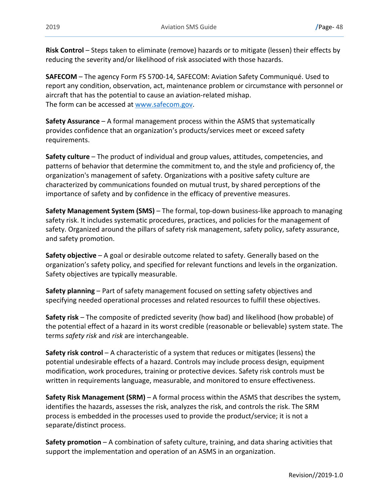**Risk Control** – Steps taken to eliminate (remove) hazards or to mitigate (lessen) their effects by reducing the severity and/or likelihood of risk associated with those hazards.

**SAFECOM** – The agency Form FS 5700-14, SAFECOM: Aviation Safety Communiqué. Used to report any condition, observation, act, maintenance problem or circumstance with personnel or aircraft that has the potential to cause an aviation-related mishap. The form can be accessed at [www.safecom.gov.](http://www.safecom.gov/)

**Safety Assurance** – A formal management process within the ASMS that systematically provides confidence that an organization's products/services meet or exceed safety requirements.

**Safety culture** – The product of individual and group values, attitudes, competencies, and patterns of behavior that determine the commitment to, and the style and proficiency of, the organization's management of safety. Organizations with a positive safety culture are characterized by communications founded on mutual trust, by shared perceptions of the importance of safety and by confidence in the efficacy of preventive measures.

**Safety Management System (SMS)** – The formal, top-down business-like approach to managing safety risk. It includes systematic procedures, practices, and policies for the management of safety. Organized around the pillars of safety risk management, safety policy, safety assurance, and safety promotion.

**Safety objective** – A goal or desirable outcome related to safety. Generally based on the organization's safety policy, and specified for relevant functions and levels in the organization. Safety objectives are typically measurable.

**Safety planning** – Part of safety management focused on setting safety objectives and specifying needed operational processes and related resources to fulfill these objectives.

**Safety risk** – The composite of predicted severity (how bad) and likelihood (how probable) of the potential effect of a hazard in its worst credible (reasonable or believable) system state. The terms *safety risk* and *risk* are interchangeable.

**Safety risk control** – A characteristic of a system that reduces or mitigates (lessens) the potential undesirable effects of a hazard. Controls may include process design, equipment modification, work procedures, training or protective devices. Safety risk controls must be written in requirements language, measurable, and monitored to ensure effectiveness.

**Safety Risk Management (SRM)** – A formal process within the ASMS that describes the system, identifies the hazards, assesses the risk, analyzes the risk, and controls the risk. The SRM process is embedded in the processes used to provide the product/service; it is not a separate/distinct process.

**Safety promotion** – A combination of safety culture, training, and data sharing activities that support the implementation and operation of an ASMS in an organization.